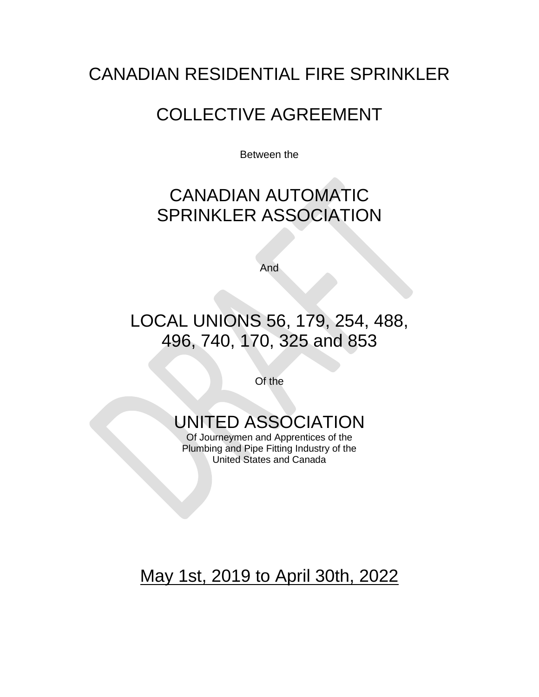# CANADIAN RESIDENTIAL FIRE SPRINKLER

# COLLECTIVE AGREEMENT

Between the

# CANADIAN AUTOMATIC SPRINKLER ASSOCIATION

And

# LOCAL UNIONS 56, 179, 254, 488, 496, 740, 170, 325 and 853

Of the

# UNITED ASSOCIATION

Of Journeymen and Apprentices of the Plumbing and Pipe Fitting Industry of the United States and Canada

# May 1st, 2019 to April 30th, 2022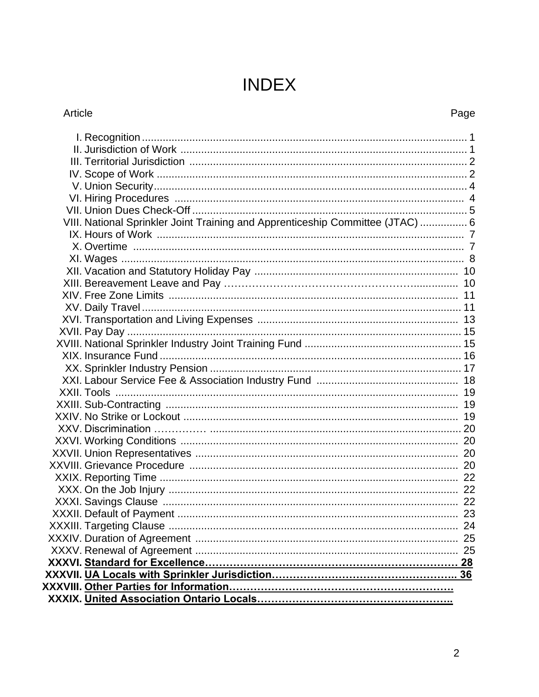# **INDEX**

## Article

## Page

| VIII. National Sprinkler Joint Training and Apprenticeship Committee (JTAC)  6 |  |
|--------------------------------------------------------------------------------|--|
|                                                                                |  |
|                                                                                |  |
|                                                                                |  |
|                                                                                |  |
|                                                                                |  |
|                                                                                |  |
|                                                                                |  |
|                                                                                |  |
|                                                                                |  |
|                                                                                |  |
|                                                                                |  |
|                                                                                |  |
|                                                                                |  |
|                                                                                |  |
|                                                                                |  |
|                                                                                |  |
|                                                                                |  |
|                                                                                |  |
|                                                                                |  |
|                                                                                |  |
|                                                                                |  |
|                                                                                |  |
|                                                                                |  |
|                                                                                |  |
|                                                                                |  |
|                                                                                |  |
|                                                                                |  |
|                                                                                |  |
|                                                                                |  |
|                                                                                |  |
|                                                                                |  |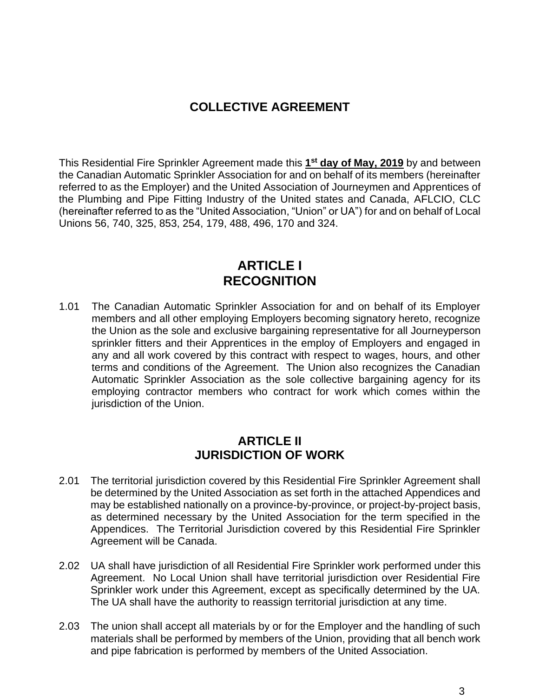## **COLLECTIVE AGREEMENT**

This Residential Fire Sprinkler Agreement made this **1 st day of May, 2019** by and between the Canadian Automatic Sprinkler Association for and on behalf of its members (hereinafter referred to as the Employer) and the United Association of Journeymen and Apprentices of the Plumbing and Pipe Fitting Industry of the United states and Canada, AFLCIO, CLC (hereinafter referred to as the "United Association, "Union" or UA") for and on behalf of Local Unions 56, 740, 325, 853, 254, 179, 488, 496, 170 and 324.

## **ARTICLE I RECOGNITION**

1.01 The Canadian Automatic Sprinkler Association for and on behalf of its Employer members and all other employing Employers becoming signatory hereto, recognize the Union as the sole and exclusive bargaining representative for all Journeyperson sprinkler fitters and their Apprentices in the employ of Employers and engaged in any and all work covered by this contract with respect to wages, hours, and other terms and conditions of the Agreement. The Union also recognizes the Canadian Automatic Sprinkler Association as the sole collective bargaining agency for its employing contractor members who contract for work which comes within the jurisdiction of the Union.

#### **ARTICLE II JURISDICTION OF WORK**

- 2.01 The territorial jurisdiction covered by this Residential Fire Sprinkler Agreement shall be determined by the United Association as set forth in the attached Appendices and may be established nationally on a province-by-province, or project-by-project basis, as determined necessary by the United Association for the term specified in the Appendices. The Territorial Jurisdiction covered by this Residential Fire Sprinkler Agreement will be Canada.
- 2.02 UA shall have jurisdiction of all Residential Fire Sprinkler work performed under this Agreement. No Local Union shall have territorial jurisdiction over Residential Fire Sprinkler work under this Agreement, except as specifically determined by the UA. The UA shall have the authority to reassign territorial jurisdiction at any time.
- 2.03 The union shall accept all materials by or for the Employer and the handling of such materials shall be performed by members of the Union, providing that all bench work and pipe fabrication is performed by members of the United Association.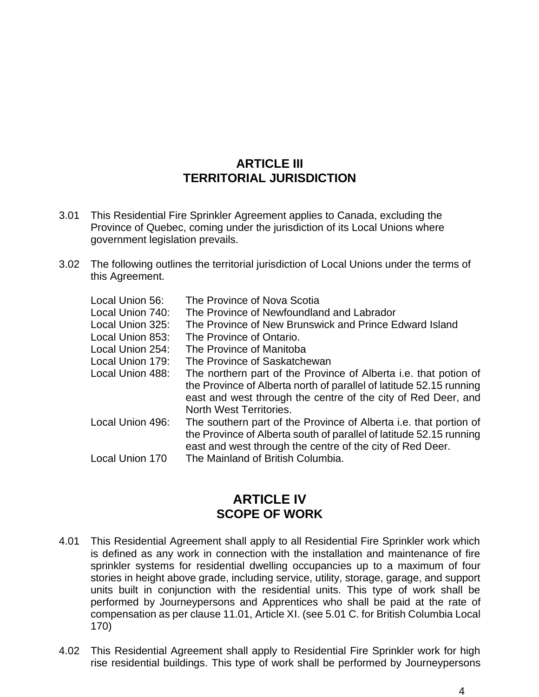#### **ARTICLE III TERRITORIAL JURISDICTION**

- 3.01 This Residential Fire Sprinkler Agreement applies to Canada, excluding the Province of Quebec, coming under the jurisdiction of its Local Unions where government legislation prevails.
- 3.02 The following outlines the territorial jurisdiction of Local Unions under the terms of this Agreement.

| Local Union 56:        | The Province of Nova Scotia                                                                                                                                                                                                                |
|------------------------|--------------------------------------------------------------------------------------------------------------------------------------------------------------------------------------------------------------------------------------------|
| Local Union 740:       | The Province of Newfoundland and Labrador                                                                                                                                                                                                  |
| Local Union 325:       | The Province of New Brunswick and Prince Edward Island                                                                                                                                                                                     |
| Local Union 853:       | The Province of Ontario.                                                                                                                                                                                                                   |
| Local Union 254:       | The Province of Manitoba                                                                                                                                                                                                                   |
| Local Union 179:       | The Province of Saskatchewan                                                                                                                                                                                                               |
| Local Union 488:       | The northern part of the Province of Alberta <i>i.e.</i> that potion of<br>the Province of Alberta north of parallel of latitude 52.15 running<br>east and west through the centre of the city of Red Deer, and<br>North West Territories. |
| Local Union 496:       | The southern part of the Province of Alberta <i>i.e.</i> that portion of<br>the Province of Alberta south of parallel of latitude 52.15 running<br>east and west through the centre of the city of Red Deer.                               |
| <b>Local Union 170</b> | The Mainland of British Columbia.                                                                                                                                                                                                          |
|                        |                                                                                                                                                                                                                                            |

#### **ARTICLE IV SCOPE OF WORK**

- 4.01 This Residential Agreement shall apply to all Residential Fire Sprinkler work which is defined as any work in connection with the installation and maintenance of fire sprinkler systems for residential dwelling occupancies up to a maximum of four stories in height above grade, including service, utility, storage, garage, and support units built in conjunction with the residential units. This type of work shall be performed by Journeypersons and Apprentices who shall be paid at the rate of compensation as per clause 11.01, Article XI. (see 5.01 C. for British Columbia Local 170)
- 4.02 This Residential Agreement shall apply to Residential Fire Sprinkler work for high rise residential buildings. This type of work shall be performed by Journeypersons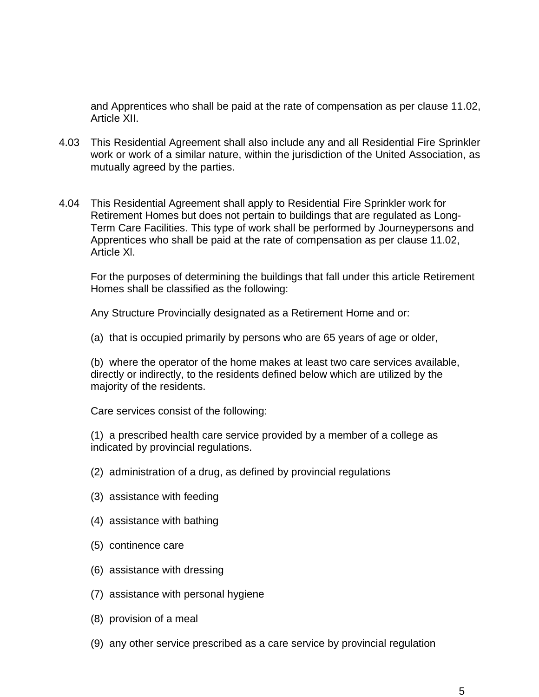and Apprentices who shall be paid at the rate of compensation as per clause 11.02, Article XII.

- 4.03 This Residential Agreement shall also include any and all Residential Fire Sprinkler work or work of a similar nature, within the jurisdiction of the United Association, as mutually agreed by the parties.
- 4.04 This Residential Agreement shall apply to Residential Fire Sprinkler work for Retirement Homes but does not pertain to buildings that are regulated as Long-Term Care Facilities. This type of work shall be performed by Journeypersons and Apprentices who shall be paid at the rate of compensation as per clause 11.02, Article Xl.

For the purposes of determining the buildings that fall under this article Retirement Homes shall be classified as the following:

Any Structure Provincially designated as a Retirement Home and or:

(a) that is occupied primarily by persons who are 65 years of age or older,

(b) where the operator of the home makes at least two care services available, directly or indirectly, to the residents defined below which are utilized by the majority of the residents.

Care services consist of the following:

(1) a prescribed health care service provided by a member of a college as indicated by provincial regulations.

- (2) administration of a drug, as defined by provincial regulations
- (3) assistance with feeding
- (4) assistance with bathing
- (5) continence care
- (6) assistance with dressing
- (7) assistance with personal hygiene
- (8) provision of a meal
- (9) any other service prescribed as a care service by provincial regulation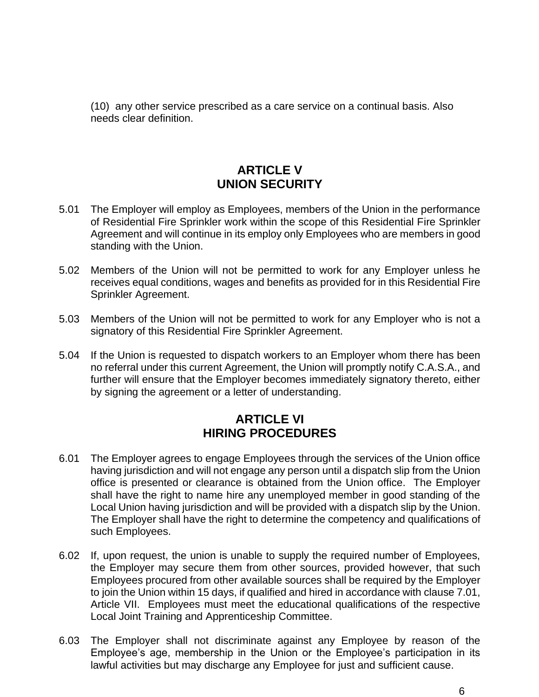(10) any other service prescribed as a care service on a continual basis. Also needs clear definition.

## **ARTICLE V UNION SECURITY**

- 5.01 The Employer will employ as Employees, members of the Union in the performance of Residential Fire Sprinkler work within the scope of this Residential Fire Sprinkler Agreement and will continue in its employ only Employees who are members in good standing with the Union.
- 5.02 Members of the Union will not be permitted to work for any Employer unless he receives equal conditions, wages and benefits as provided for in this Residential Fire Sprinkler Agreement.
- 5.03 Members of the Union will not be permitted to work for any Employer who is not a signatory of this Residential Fire Sprinkler Agreement.
- 5.04 If the Union is requested to dispatch workers to an Employer whom there has been no referral under this current Agreement, the Union will promptly notify C.A.S.A., and further will ensure that the Employer becomes immediately signatory thereto, either by signing the agreement or a letter of understanding.

#### **ARTICLE VI HIRING PROCEDURES**

- 6.01 The Employer agrees to engage Employees through the services of the Union office having jurisdiction and will not engage any person until a dispatch slip from the Union office is presented or clearance is obtained from the Union office. The Employer shall have the right to name hire any unemployed member in good standing of the Local Union having jurisdiction and will be provided with a dispatch slip by the Union. The Employer shall have the right to determine the competency and qualifications of such Employees.
- 6.02 If, upon request, the union is unable to supply the required number of Employees, the Employer may secure them from other sources, provided however, that such Employees procured from other available sources shall be required by the Employer to join the Union within 15 days, if qualified and hired in accordance with clause 7.01, Article VII. Employees must meet the educational qualifications of the respective Local Joint Training and Apprenticeship Committee.
- 6.03 The Employer shall not discriminate against any Employee by reason of the Employee's age, membership in the Union or the Employee's participation in its lawful activities but may discharge any Employee for just and sufficient cause.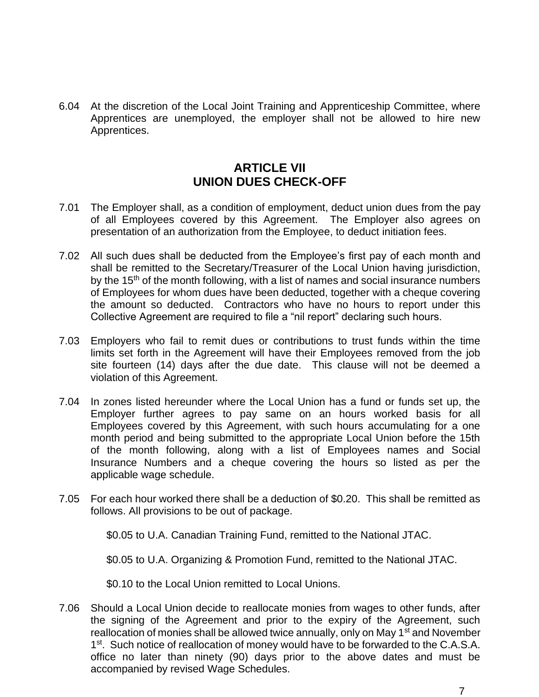6.04 At the discretion of the Local Joint Training and Apprenticeship Committee, where Apprentices are unemployed, the employer shall not be allowed to hire new Apprentices.

#### **ARTICLE VII UNION DUES CHECK-OFF**

- 7.01 The Employer shall, as a condition of employment, deduct union dues from the pay of all Employees covered by this Agreement. The Employer also agrees on presentation of an authorization from the Employee, to deduct initiation fees.
- 7.02 All such dues shall be deducted from the Employee's first pay of each month and shall be remitted to the Secretary/Treasurer of the Local Union having jurisdiction, by the  $15<sup>th</sup>$  of the month following, with a list of names and social insurance numbers of Employees for whom dues have been deducted, together with a cheque covering the amount so deducted. Contractors who have no hours to report under this Collective Agreement are required to file a "nil report" declaring such hours.
- 7.03 Employers who fail to remit dues or contributions to trust funds within the time limits set forth in the Agreement will have their Employees removed from the job site fourteen (14) days after the due date. This clause will not be deemed a violation of this Agreement.
- 7.04 In zones listed hereunder where the Local Union has a fund or funds set up, the Employer further agrees to pay same on an hours worked basis for all Employees covered by this Agreement, with such hours accumulating for a one month period and being submitted to the appropriate Local Union before the 15th of the month following, along with a list of Employees names and Social Insurance Numbers and a cheque covering the hours so listed as per the applicable wage schedule.
- 7.05 For each hour worked there shall be a deduction of \$0.20. This shall be remitted as follows. All provisions to be out of package.

\$0.05 to U.A. Canadian Training Fund, remitted to the National JTAC.

\$0.05 to U.A. Organizing & Promotion Fund, remitted to the National JTAC.

\$0.10 to the Local Union remitted to Local Unions.

7.06 Should a Local Union decide to reallocate monies from wages to other funds, after the signing of the Agreement and prior to the expiry of the Agreement, such reallocation of monies shall be allowed twice annually, only on May 1<sup>st</sup> and November 1<sup>st</sup>. Such notice of reallocation of money would have to be forwarded to the C.A.S.A. office no later than ninety (90) days prior to the above dates and must be accompanied by revised Wage Schedules.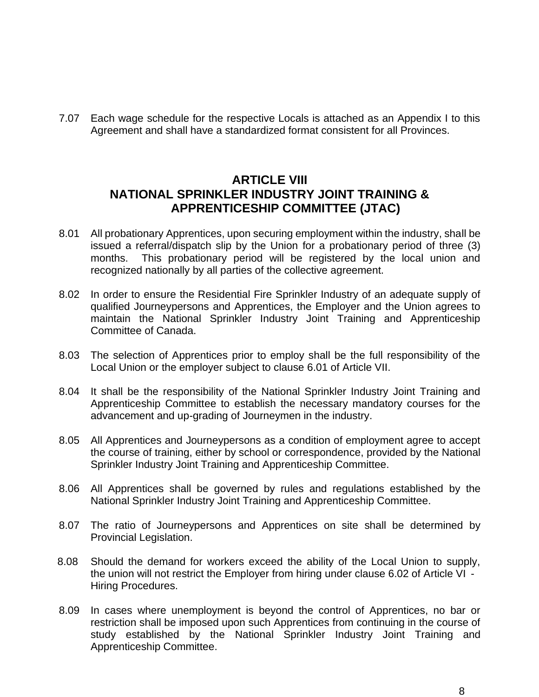7.07 Each wage schedule for the respective Locals is attached as an Appendix I to this Agreement and shall have a standardized format consistent for all Provinces.

#### **ARTICLE VIII NATIONAL SPRINKLER INDUSTRY JOINT TRAINING & APPRENTICESHIP COMMITTEE (JTAC)**

- 8.01 All probationary Apprentices, upon securing employment within the industry, shall be issued a referral/dispatch slip by the Union for a probationary period of three (3) months. This probationary period will be registered by the local union and recognized nationally by all parties of the collective agreement.
- 8.02 In order to ensure the Residential Fire Sprinkler Industry of an adequate supply of qualified Journeypersons and Apprentices, the Employer and the Union agrees to maintain the National Sprinkler Industry Joint Training and Apprenticeship Committee of Canada.
- 8.03 The selection of Apprentices prior to employ shall be the full responsibility of the Local Union or the employer subject to clause 6.01 of Article VII.
- 8.04 It shall be the responsibility of the National Sprinkler Industry Joint Training and Apprenticeship Committee to establish the necessary mandatory courses for the advancement and up-grading of Journeymen in the industry.
- 8.05 All Apprentices and Journeypersons as a condition of employment agree to accept the course of training, either by school or correspondence, provided by the National Sprinkler Industry Joint Training and Apprenticeship Committee.
- 8.06 All Apprentices shall be governed by rules and regulations established by the National Sprinkler Industry Joint Training and Apprenticeship Committee.
- 8.07 The ratio of Journeypersons and Apprentices on site shall be determined by Provincial Legislation.
- 8.08 Should the demand for workers exceed the ability of the Local Union to supply, the union will not restrict the Employer from hiring under clause 6.02 of Article VI - Hiring Procedures.
- 8.09 In cases where unemployment is beyond the control of Apprentices, no bar or restriction shall be imposed upon such Apprentices from continuing in the course of study established by the National Sprinkler Industry Joint Training and Apprenticeship Committee.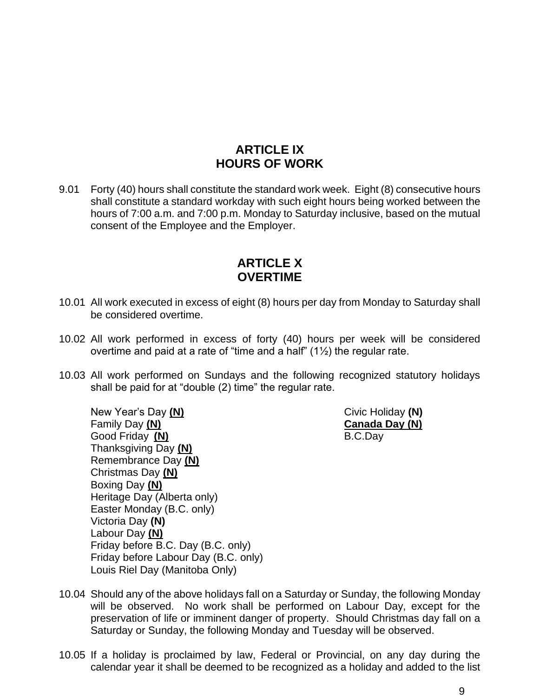## **ARTICLE IX HOURS OF WORK**

9.01 Forty (40) hours shall constitute the standard work week. Eight (8) consecutive hours shall constitute a standard workday with such eight hours being worked between the hours of 7:00 a.m. and 7:00 p.m. Monday to Saturday inclusive, based on the mutual consent of the Employee and the Employer.

#### **ARTICLE X OVERTIME**

- 10.01 All work executed in excess of eight (8) hours per day from Monday to Saturday shall be considered overtime.
- 10.02 All work performed in excess of forty (40) hours per week will be considered overtime and paid at a rate of "time and a half" (1½) the regular rate.
- 10.03 All work performed on Sundays and the following recognized statutory holidays shall be paid for at "double (2) time" the regular rate.

New Year's Day (N) **Civic Holiday (N)** Civic Holiday (N) Family Day **(N) Canada Day (N)** Good Friday **(N)** B.C.Day Thanksgiving Day **(N)** Remembrance Day **(N)** Christmas Day **(N)** Boxing Day **(N)** Heritage Day (Alberta only) Easter Monday (B.C. only) Victoria Day **(N)** Labour Day **(N)** Friday before B.C. Day (B.C. only) Friday before Labour Day (B.C. only) Louis Riel Day (Manitoba Only)

- 10.04 Should any of the above holidays fall on a Saturday or Sunday, the following Monday will be observed. No work shall be performed on Labour Day, except for the preservation of life or imminent danger of property. Should Christmas day fall on a Saturday or Sunday, the following Monday and Tuesday will be observed.
- 10.05 If a holiday is proclaimed by law, Federal or Provincial, on any day during the calendar year it shall be deemed to be recognized as a holiday and added to the list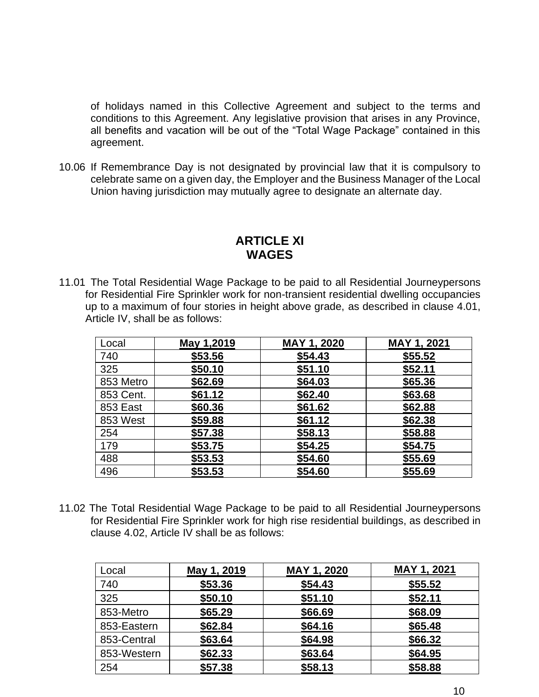of holidays named in this Collective Agreement and subject to the terms and conditions to this Agreement. Any legislative provision that arises in any Province, all benefits and vacation will be out of the "Total Wage Package" contained in this agreement.

10.06 If Remembrance Day is not designated by provincial law that it is compulsory to celebrate same on a given day, the Employer and the Business Manager of the Local Union having jurisdiction may mutually agree to designate an alternate day.

#### **ARTICLE XI WAGES**

11.01 The Total Residential Wage Package to be paid to all Residential Journeypersons for Residential Fire Sprinkler work for non-transient residential dwelling occupancies up to a maximum of four stories in height above grade, as described in clause 4.01, Article IV, shall be as follows:

| Local           | May 1,2019 | MAY 1, 2020 | MAY 1, 2021 |
|-----------------|------------|-------------|-------------|
| 740             | \$53.56    | \$54.43     | \$55.52     |
| 325             | \$50.10    | \$51.10     | \$52.11     |
| 853 Metro       | \$62.69    | \$64.03     | \$65.36     |
| 853 Cent.       | \$61.12    | \$62.40     | \$63.68     |
| <b>853 East</b> | \$60.36    | \$61.62     | \$62.88     |
| 853 West        | \$59.88    | \$61.12     | \$62.38     |
| 254             | \$57.38    | \$58.13     | \$58.88     |
| 179             | \$53.75    | \$54.25     | \$54.75     |
| 488             | \$53.53    | \$54.60     | \$55.69     |
| 496             | \$53.53    | \$54.60     | \$55.69     |

11.02 The Total Residential Wage Package to be paid to all Residential Journeypersons for Residential Fire Sprinkler work for high rise residential buildings, as described in clause 4.02, Article IV shall be as follows:

| Local       | May 1, 2019 | MAY 1, 2020 | MAY 1, 2021 |
|-------------|-------------|-------------|-------------|
| 740         | \$53.36     | \$54.43     | \$55.52     |
| 325         | \$50.10     | \$51.10     | \$52.11     |
| 853-Metro   | \$65.29     | \$66.69     | \$68.09     |
| 853-Eastern | \$62.84     | \$64.16     | \$65.48     |
| 853-Central | \$63.64     | \$64.98     | \$66.32     |
| 853-Western | \$62.33     | \$63.64     | \$64.95     |
| 254         | \$57.38     | \$58.13     | \$58.88     |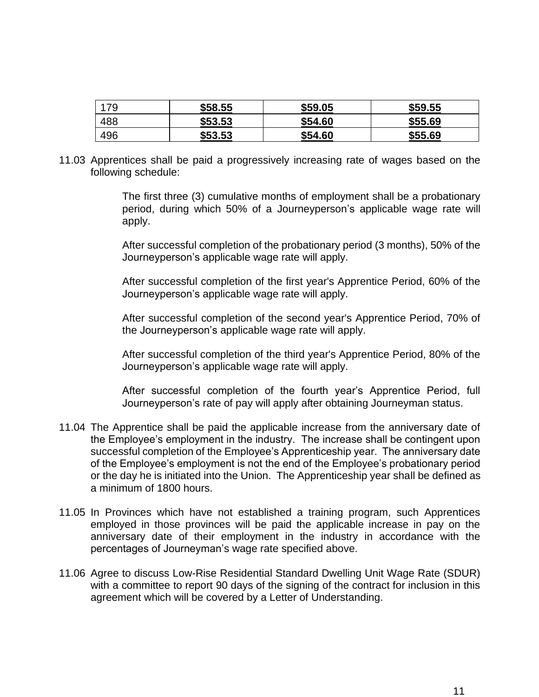| 79  | \$58.55 | \$59.05 | \$59.55 |
|-----|---------|---------|---------|
| 488 | \$53.53 | \$54.60 | \$55.69 |
| 496 | \$53.53 | \$54.60 | \$55.69 |

11.03 Apprentices shall be paid a progressively increasing rate of wages based on the following schedule:

> The first three (3) cumulative months of employment shall be a probationary period, during which 50% of a Journeyperson's applicable wage rate will apply.

> After successful completion of the probationary period (3 months), 50% of the Journeyperson's applicable wage rate will apply.

> After successful completion of the first year's Apprentice Period, 60% of the Journeyperson's applicable wage rate will apply.

> After successful completion of the second year's Apprentice Period, 70% of the Journeyperson's applicable wage rate will apply.

> After successful completion of the third year's Apprentice Period, 80% of the Journeyperson's applicable wage rate will apply.

> After successful completion of the fourth year's Apprentice Period, full Journeyperson's rate of pay will apply after obtaining Journeyman status.

- 11.04 The Apprentice shall be paid the applicable increase from the anniversary date of the Employee's employment in the industry. The increase shall be contingent upon successful completion of the Employee's Apprenticeship year. The anniversary date of the Employee's employment is not the end of the Employee's probationary period or the day he is initiated into the Union. The Apprenticeship year shall be defined as a minimum of 1800 hours.
- 11.05 In Provinces which have not established a training program, such Apprentices employed in those provinces will be paid the applicable increase in pay on the anniversary date of their employment in the industry in accordance with the percentages of Journeyman's wage rate specified above.
- 11.06 Agree to discuss Low-Rise Residential Standard Dwelling Unit Wage Rate (SDUR) with a committee to report 90 days of the signing of the contract for inclusion in this agreement which will be covered by a Letter of Understanding.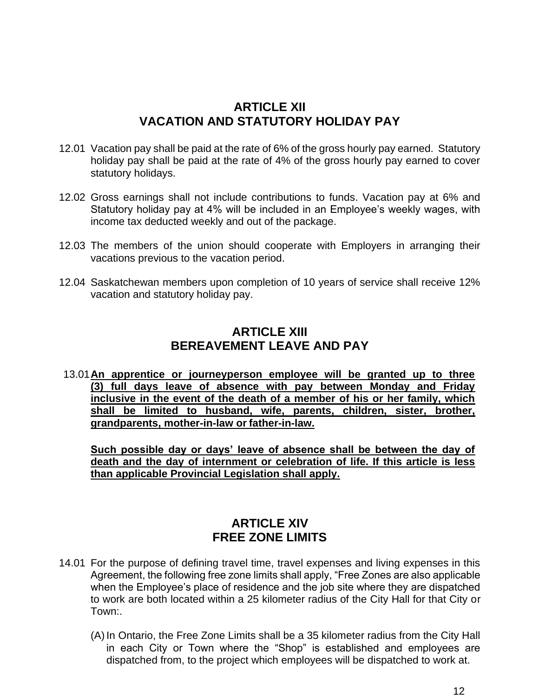#### **ARTICLE XII VACATION AND STATUTORY HOLIDAY PAY**

- 12.01 Vacation pay shall be paid at the rate of 6% of the gross hourly pay earned. Statutory holiday pay shall be paid at the rate of 4% of the gross hourly pay earned to cover statutory holidays.
- 12.02 Gross earnings shall not include contributions to funds. Vacation pay at 6% and Statutory holiday pay at 4% will be included in an Employee's weekly wages, with income tax deducted weekly and out of the package.
- 12.03 The members of the union should cooperate with Employers in arranging their vacations previous to the vacation period.
- 12.04 Saskatchewan members upon completion of 10 years of service shall receive 12% vacation and statutory holiday pay.

#### **ARTICLE XIII BEREAVEMENT LEAVE AND PAY**

13.01**An apprentice or journeyperson employee will be granted up to three (3) full days leave of absence with pay between Monday and Friday inclusive in the event of the death of a member of his or her family, which shall be limited to husband, wife, parents, children, sister, brother, grandparents, mother-in-law or father-in-law.**

**Such possible day or days' leave of absence shall be between the day of death and the day of internment or celebration of life. If this article is less than applicable Provincial Legislation shall apply.**

#### **ARTICLE XIV FREE ZONE LIMITS**

- 14.01 For the purpose of defining travel time, travel expenses and living expenses in this Agreement, the following free zone limits shall apply, "Free Zones are also applicable when the Employee's place of residence and the job site where they are dispatched to work are both located within a 25 kilometer radius of the City Hall for that City or Town:.
	- (A) In Ontario, the Free Zone Limits shall be a 35 kilometer radius from the City Hall in each City or Town where the "Shop" is established and employees are dispatched from, to the project which employees will be dispatched to work at.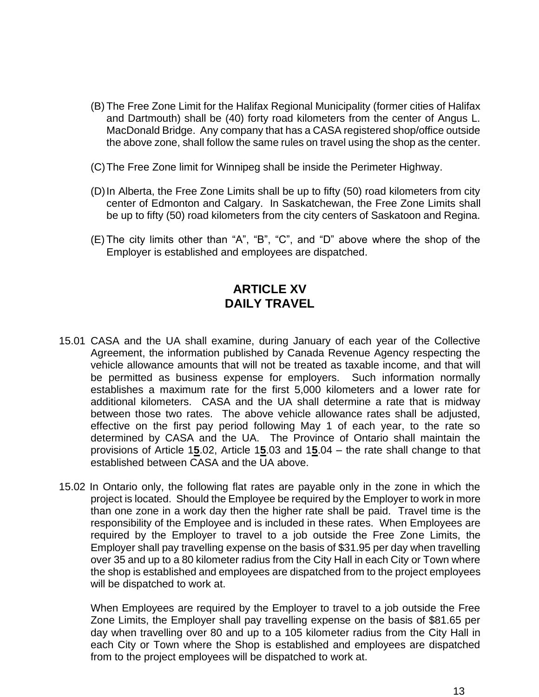- (B) The Free Zone Limit for the Halifax Regional Municipality (former cities of Halifax and Dartmouth) shall be (40) forty road kilometers from the center of Angus L. MacDonald Bridge. Any company that has a CASA registered shop/office outside the above zone, shall follow the same rules on travel using the shop as the center.
- (C)The Free Zone limit for Winnipeg shall be inside the Perimeter Highway.
- (D)In Alberta, the Free Zone Limits shall be up to fifty (50) road kilometers from city center of Edmonton and Calgary. In Saskatchewan, the Free Zone Limits shall be up to fifty (50) road kilometers from the city centers of Saskatoon and Regina.
- (E) The city limits other than "A", "B", "C", and "D" above where the shop of the Employer is established and employees are dispatched.

#### **ARTICLE XV DAILY TRAVEL**

- 15.01 CASA and the UA shall examine, during January of each year of the Collective Agreement, the information published by Canada Revenue Agency respecting the vehicle allowance amounts that will not be treated as taxable income, and that will be permitted as business expense for employers. Such information normally establishes a maximum rate for the first 5,000 kilometers and a lower rate for additional kilometers. CASA and the UA shall determine a rate that is midway between those two rates. The above vehicle allowance rates shall be adjusted, effective on the first pay period following May 1 of each year, to the rate so determined by CASA and the UA. The Province of Ontario shall maintain the provisions of Article 1**5**.02, Article 1**5**.03 and 1**5**.04 – the rate shall change to that established between CASA and the UA above.
- 15.02 In Ontario only, the following flat rates are payable only in the zone in which the project is located. Should the Employee be required by the Employer to work in more than one zone in a work day then the higher rate shall be paid. Travel time is the responsibility of the Employee and is included in these rates. When Employees are required by the Employer to travel to a job outside the Free Zone Limits, the Employer shall pay travelling expense on the basis of \$31.95 per day when travelling over 35 and up to a 80 kilometer radius from the City Hall in each City or Town where the shop is established and employees are dispatched from to the project employees will be dispatched to work at.

When Employees are required by the Employer to travel to a job outside the Free Zone Limits, the Employer shall pay travelling expense on the basis of \$81.65 per day when travelling over 80 and up to a 105 kilometer radius from the City Hall in each City or Town where the Shop is established and employees are dispatched from to the project employees will be dispatched to work at.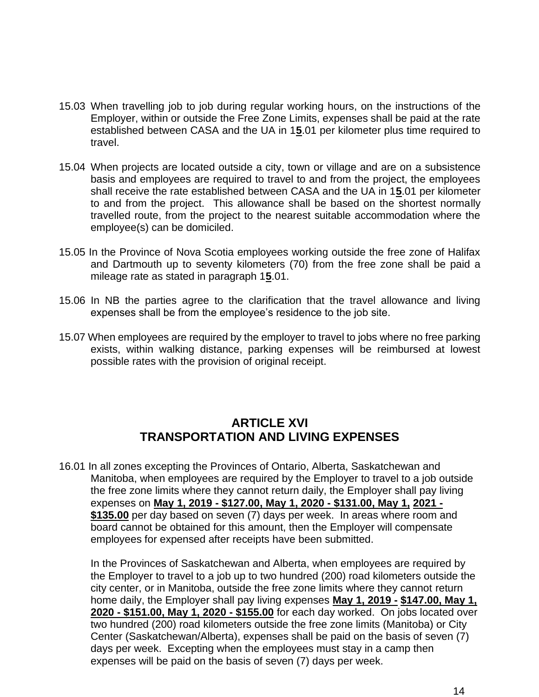- 15.03 When travelling job to job during regular working hours, on the instructions of the Employer, within or outside the Free Zone Limits, expenses shall be paid at the rate established between CASA and the UA in 1**5**.01 per kilometer plus time required to travel.
- 15.04 When projects are located outside a city, town or village and are on a subsistence basis and employees are required to travel to and from the project, the employees shall receive the rate established between CASA and the UA in 1**5**.01 per kilometer to and from the project. This allowance shall be based on the shortest normally travelled route, from the project to the nearest suitable accommodation where the employee(s) can be domiciled.
- 15.05 In the Province of Nova Scotia employees working outside the free zone of Halifax and Dartmouth up to seventy kilometers (70) from the free zone shall be paid a mileage rate as stated in paragraph 1**5**.01.
- 15.06 In NB the parties agree to the clarification that the travel allowance and living expenses shall be from the employee's residence to the job site.
- 15.07 When employees are required by the employer to travel to jobs where no free parking exists, within walking distance, parking expenses will be reimbursed at lowest possible rates with the provision of original receipt.

## **ARTICLE XVI TRANSPORTATION AND LIVING EXPENSES**

16.01 In all zones excepting the Provinces of Ontario, Alberta, Saskatchewan and Manitoba, when employees are required by the Employer to travel to a job outside the free zone limits where they cannot return daily, the Employer shall pay living expenses on **May 1, 2019 - \$127.00, May 1, 2020 - \$131.00, May 1, 2021 - \$135.00** per day based on seven (7) days per week. In areas where room and board cannot be obtained for this amount, then the Employer will compensate employees for expensed after receipts have been submitted.

In the Provinces of Saskatchewan and Alberta, when employees are required by the Employer to travel to a job up to two hundred (200) road kilometers outside the city center, or in Manitoba, outside the free zone limits where they cannot return home daily, the Employer shall pay living expenses **May 1, 2019 - \$147.00, May 1, 2020 - \$151.00, May 1, 2020 - \$155.00** for each day worked. On jobs located over two hundred (200) road kilometers outside the free zone limits (Manitoba) or City Center (Saskatchewan/Alberta), expenses shall be paid on the basis of seven (7) days per week. Excepting when the employees must stay in a camp then expenses will be paid on the basis of seven (7) days per week.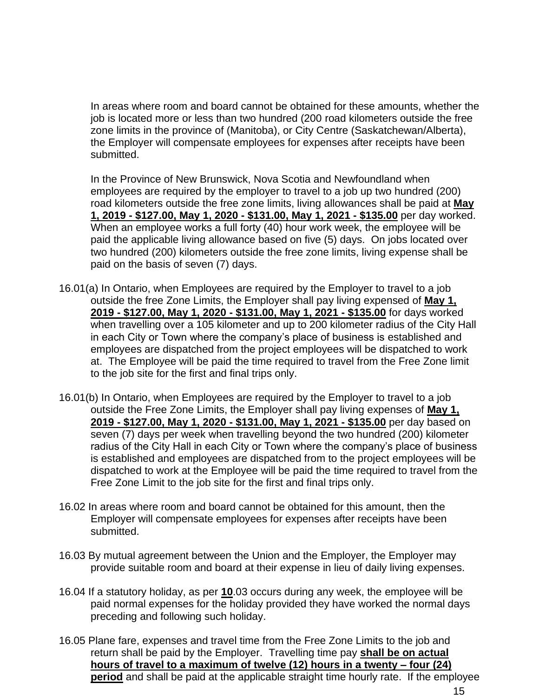In areas where room and board cannot be obtained for these amounts, whether the job is located more or less than two hundred (200 road kilometers outside the free zone limits in the province of (Manitoba), or City Centre (Saskatchewan/Alberta), the Employer will compensate employees for expenses after receipts have been submitted.

In the Province of New Brunswick, Nova Scotia and Newfoundland when employees are required by the employer to travel to a job up two hundred (200) road kilometers outside the free zone limits, living allowances shall be paid at **May 1, 2019 - \$127.00, May 1, 2020 - \$131.00, May 1, 2021 - \$135.00** per day worked. When an employee works a full forty (40) hour work week, the employee will be paid the applicable living allowance based on five (5) days. On jobs located over two hundred (200) kilometers outside the free zone limits, living expense shall be paid on the basis of seven (7) days.

- 16.01(a) In Ontario, when Employees are required by the Employer to travel to a job outside the free Zone Limits, the Employer shall pay living expensed of **May 1, 2019 - \$127.00, May 1, 2020 - \$131.00, May 1, 2021 - \$135.00** for days worked when travelling over a 105 kilometer and up to 200 kilometer radius of the City Hall in each City or Town where the company's place of business is established and employees are dispatched from the project employees will be dispatched to work at. The Employee will be paid the time required to travel from the Free Zone limit to the job site for the first and final trips only.
- 16.01(b) In Ontario, when Employees are required by the Employer to travel to a job outside the Free Zone Limits, the Employer shall pay living expenses of **May 1, 2019 - \$127.00, May 1, 2020 - \$131.00, May 1, 2021 - \$135.00** per day based on seven (7) days per week when travelling beyond the two hundred (200) kilometer radius of the City Hall in each City or Town where the company's place of business is established and employees are dispatched from to the project employees will be dispatched to work at the Employee will be paid the time required to travel from the Free Zone Limit to the job site for the first and final trips only.
- 16.02 In areas where room and board cannot be obtained for this amount, then the Employer will compensate employees for expenses after receipts have been submitted.
- 16.03 By mutual agreement between the Union and the Employer, the Employer may provide suitable room and board at their expense in lieu of daily living expenses.
- 16.04 If a statutory holiday, as per **10**.03 occurs during any week, the employee will be paid normal expenses for the holiday provided they have worked the normal days preceding and following such holiday.
- 16.05 Plane fare, expenses and travel time from the Free Zone Limits to the job and return shall be paid by the Employer. Travelling time pay **shall be on actual hours of travel to a maximum of twelve (12) hours in a twenty – four (24) period** and shall be paid at the applicable straight time hourly rate. If the employee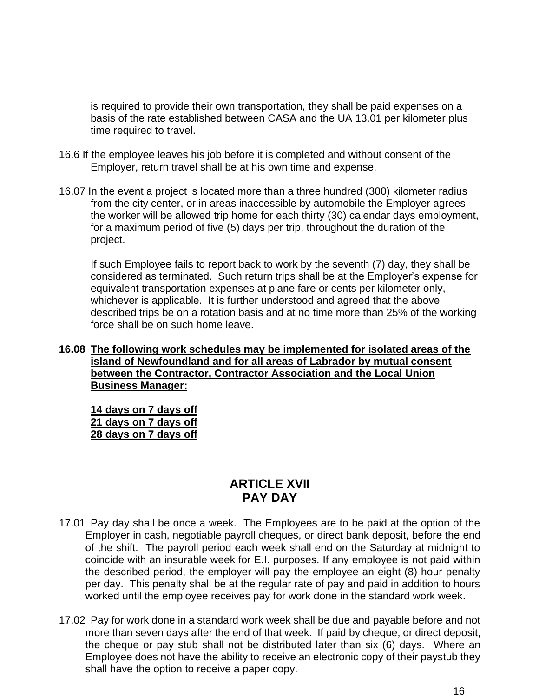is required to provide their own transportation, they shall be paid expenses on a basis of the rate established between CASA and the UA 13.01 per kilometer plus time required to travel.

- 16.6 If the employee leaves his job before it is completed and without consent of the Employer, return travel shall be at his own time and expense.
- 16.07 In the event a project is located more than a three hundred (300) kilometer radius from the city center, or in areas inaccessible by automobile the Employer agrees the worker will be allowed trip home for each thirty (30) calendar days employment, for a maximum period of five (5) days per trip, throughout the duration of the project.

If such Employee fails to report back to work by the seventh (7) day, they shall be considered as terminated. Such return trips shall be at the Employer's expense for equivalent transportation expenses at plane fare or cents per kilometer only, whichever is applicable. It is further understood and agreed that the above described trips be on a rotation basis and at no time more than 25% of the working force shall be on such home leave.

#### **16.08 The following work schedules may be implemented for isolated areas of the island of Newfoundland and for all areas of Labrador by mutual consent between the Contractor, Contractor Association and the Local Union Business Manager:**

**14 days on 7 days off 21 days on 7 days off 28 days on 7 days off** 

## **ARTICLE XVII PAY DAY**

- 17.01 Pay day shall be once a week. The Employees are to be paid at the option of the Employer in cash, negotiable payroll cheques, or direct bank deposit, before the end of the shift. The payroll period each week shall end on the Saturday at midnight to coincide with an insurable week for E.I. purposes. If any employee is not paid within the described period, the employer will pay the employee an eight (8) hour penalty per day. This penalty shall be at the regular rate of pay and paid in addition to hours worked until the employee receives pay for work done in the standard work week.
- 17.02 Pay for work done in a standard work week shall be due and payable before and not more than seven days after the end of that week. If paid by cheque, or direct deposit, the cheque or pay stub shall not be distributed later than six (6) days. Where an Employee does not have the ability to receive an electronic copy of their paystub they shall have the option to receive a paper copy.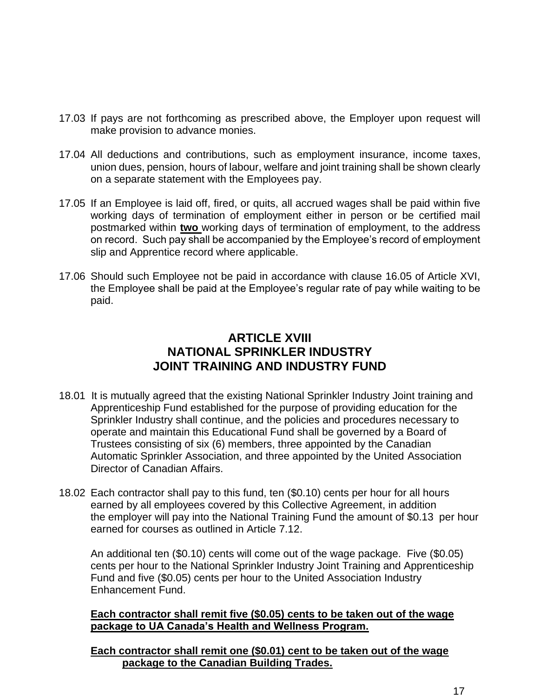- 17.03 If pays are not forthcoming as prescribed above, the Employer upon request will make provision to advance monies.
- 17.04 All deductions and contributions, such as employment insurance, income taxes, union dues, pension, hours of labour, welfare and joint training shall be shown clearly on a separate statement with the Employees pay.
- 17.05 If an Employee is laid off, fired, or quits, all accrued wages shall be paid within five working days of termination of employment either in person or be certified mail postmarked within **two** working days of termination of employment, to the address on record. Such pay shall be accompanied by the Employee's record of employment slip and Apprentice record where applicable.
- 17.06 Should such Employee not be paid in accordance with clause 16.05 of Article XVI, the Employee shall be paid at the Employee's regular rate of pay while waiting to be paid.

## **ARTICLE XVIII NATIONAL SPRINKLER INDUSTRY JOINT TRAINING AND INDUSTRY FUND**

- 18.01 It is mutually agreed that the existing National Sprinkler Industry Joint training and Apprenticeship Fund established for the purpose of providing education for the Sprinkler Industry shall continue, and the policies and procedures necessary to operate and maintain this Educational Fund shall be governed by a Board of Trustees consisting of six (6) members, three appointed by the Canadian Automatic Sprinkler Association, and three appointed by the United Association Director of Canadian Affairs.
- 18.02 Each contractor shall pay to this fund, ten (\$0.10) cents per hour for all hours earned by all employees covered by this Collective Agreement, in addition the employer will pay into the National Training Fund the amount of \$0.13 per hour earned for courses as outlined in Article 7.12.

An additional ten (\$0.10) cents will come out of the wage package. Five (\$0.05) cents per hour to the National Sprinkler Industry Joint Training and Apprenticeship Fund and five (\$0.05) cents per hour to the United Association Industry Enhancement Fund.

**Each contractor shall remit five (\$0.05) cents to be taken out of the wage package to UA Canada's Health and Wellness Program.**

**Each contractor shall remit one (\$0.01) cent to be taken out of the wage package to the Canadian Building Trades.**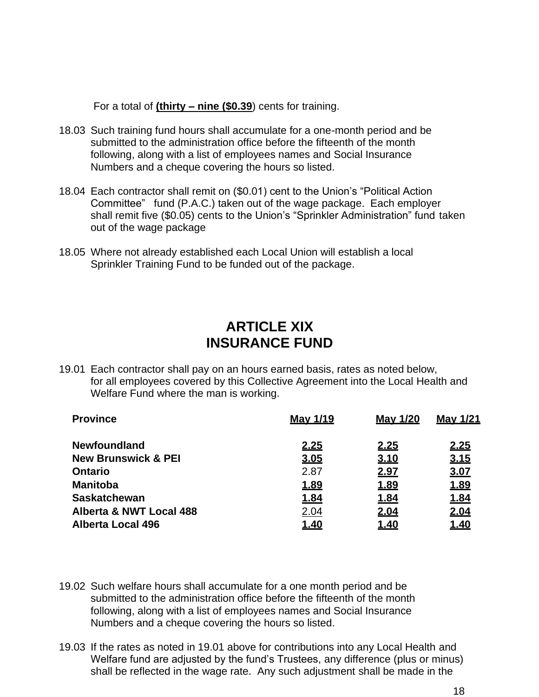For a total of **(thirty – nine (\$0.39**) cents for training.

- 18.03 Such training fund hours shall accumulate for a one-month period and be submitted to the administration office before the fifteenth of the month following, along with a list of employees names and Social Insurance Numbers and a cheque covering the hours so listed.
- 18.04 Each contractor shall remit on (\$0.01) cent to the Union's "Political Action Committee" fund (P.A.C.) taken out of the wage package. Each employer shall remit five (\$0.05) cents to the Union's "Sprinkler Administration" fund taken out of the wage package
- 18.05 Where not already established each Local Union will establish a local Sprinkler Training Fund to be funded out of the package.

## **ARTICLE XIX INSURANCE FUND**

19.01 Each contractor shall pay on an hours earned basis, rates as noted below, for all employees covered by this Collective Agreement into the Local Health and Welfare Fund where the man is working.

| <b>Province</b>                | <b>May 1/19</b> | <b>May 1/20</b> | May 1/21    |
|--------------------------------|-----------------|-----------------|-------------|
| <b>Newfoundland</b>            | <u>2.25</u>     | 2.25            | 2.25        |
| <b>New Brunswick &amp; PEI</b> | 3.05            | 3.10            | 3.15        |
| <b>Ontario</b>                 | 2.87            | 2.97            | 3.07        |
| <b>Manitoba</b>                | <u>1.89</u>     | 1.89            | 1.89        |
| <b>Saskatchewan</b>            | 1.84            | <u>1.84</u>     | <u>1.84</u> |
| Alberta & NWT Local 488        | 2.04            | 2.04            | 2.04        |
| <b>Alberta Local 496</b>       | <u>1.40</u>     | <u>1.40</u>     | <u>1.40</u> |

- 19.02 Such welfare hours shall accumulate for a one month period and be submitted to the administration office before the fifteenth of the month following, along with a list of employees names and Social Insurance Numbers and a cheque covering the hours so listed.
- 19.03 If the rates as noted in 19.01 above for contributions into any Local Health and Welfare fund are adjusted by the fund's Trustees, any difference (plus or minus) shall be reflected in the wage rate. Any such adjustment shall be made in the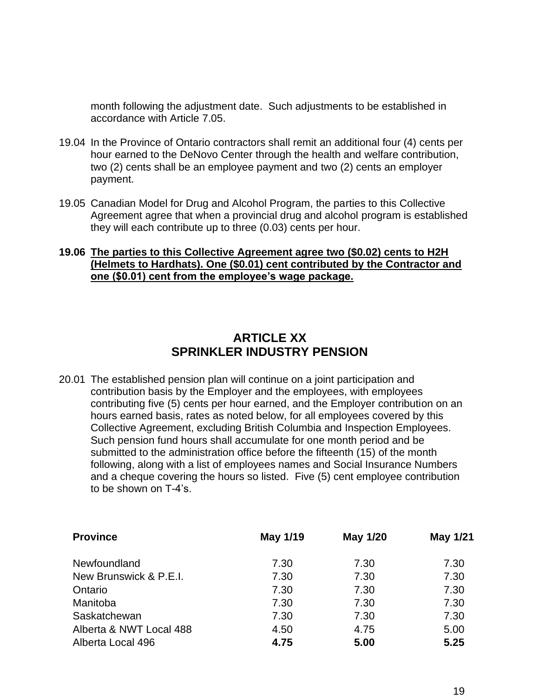month following the adjustment date. Such adjustments to be established in accordance with Article 7.05.

- 19.04 In the Province of Ontario contractors shall remit an additional four (4) cents per hour earned to the DeNovo Center through the health and welfare contribution, two (2) cents shall be an employee payment and two (2) cents an employer payment.
- 19.05 Canadian Model for Drug and Alcohol Program, the parties to this Collective Agreement agree that when a provincial drug and alcohol program is established they will each contribute up to three (0.03) cents per hour.

#### **19.06 The parties to this Collective Agreement agree two (\$0.02) cents to H2H (Helmets to Hardhats). One (\$0.01) cent contributed by the Contractor and one (\$0.01) cent from the employee's wage package.**

## **ARTICLE XX SPRINKLER INDUSTRY PENSION**

20.01 The established pension plan will continue on a joint participation and contribution basis by the Employer and the employees, with employees contributing five (5) cents per hour earned, and the Employer contribution on an hours earned basis, rates as noted below, for all employees covered by this Collective Agreement, excluding British Columbia and Inspection Employees. Such pension fund hours shall accumulate for one month period and be submitted to the administration office before the fifteenth (15) of the month following, along with a list of employees names and Social Insurance Numbers and a cheque covering the hours so listed. Five (5) cent employee contribution to be shown on T-4's.

| <b>Province</b>         | May 1/19 | May 1/20 | May 1/21 |
|-------------------------|----------|----------|----------|
| Newfoundland            | 7.30     | 7.30     | 7.30     |
| New Brunswick & P.E.I.  | 7.30     | 7.30     | 7.30     |
| Ontario                 | 7.30     | 7.30     | 7.30     |
| Manitoba                | 7.30     | 7.30     | 7.30     |
| Saskatchewan            | 7.30     | 7.30     | 7.30     |
| Alberta & NWT Local 488 | 4.50     | 4.75     | 5.00     |
| Alberta Local 496       | 4.75     | 5.00     | 5.25     |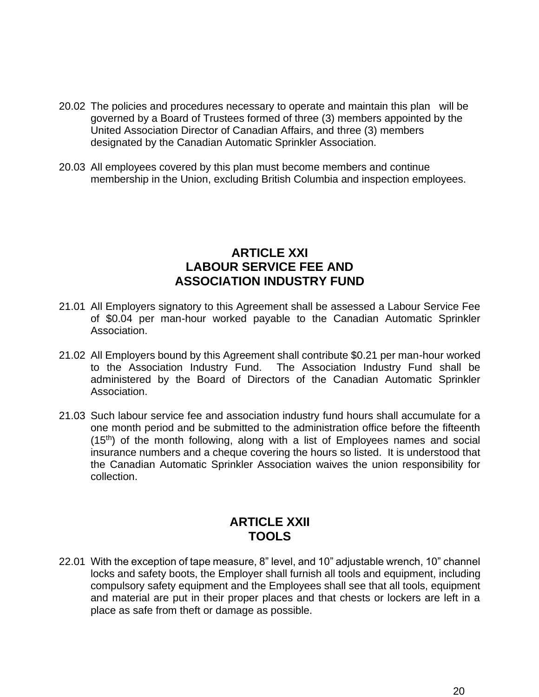- 20.02 The policies and procedures necessary to operate and maintain this plan will be governed by a Board of Trustees formed of three (3) members appointed by the United Association Director of Canadian Affairs, and three (3) members designated by the Canadian Automatic Sprinkler Association.
- 20.03 All employees covered by this plan must become members and continue membership in the Union, excluding British Columbia and inspection employees.

#### **ARTICLE XXI LABOUR SERVICE FEE AND ASSOCIATION INDUSTRY FUND**

- 21.01 All Employers signatory to this Agreement shall be assessed a Labour Service Fee of \$0.04 per man-hour worked payable to the Canadian Automatic Sprinkler Association.
- 21.02 All Employers bound by this Agreement shall contribute \$0.21 per man-hour worked to the Association Industry Fund. The Association Industry Fund shall be administered by the Board of Directors of the Canadian Automatic Sprinkler Association.
- 21.03 Such labour service fee and association industry fund hours shall accumulate for a one month period and be submitted to the administration office before the fifteenth (15<sup>th</sup>) of the month following, along with a list of Employees names and social insurance numbers and a cheque covering the hours so listed. It is understood that the Canadian Automatic Sprinkler Association waives the union responsibility for collection.

#### **ARTICLE XXII TOOLS**

22.01 With the exception of tape measure, 8" level, and 10" adjustable wrench, 10" channel locks and safety boots, the Employer shall furnish all tools and equipment, including compulsory safety equipment and the Employees shall see that all tools, equipment and material are put in their proper places and that chests or lockers are left in a place as safe from theft or damage as possible.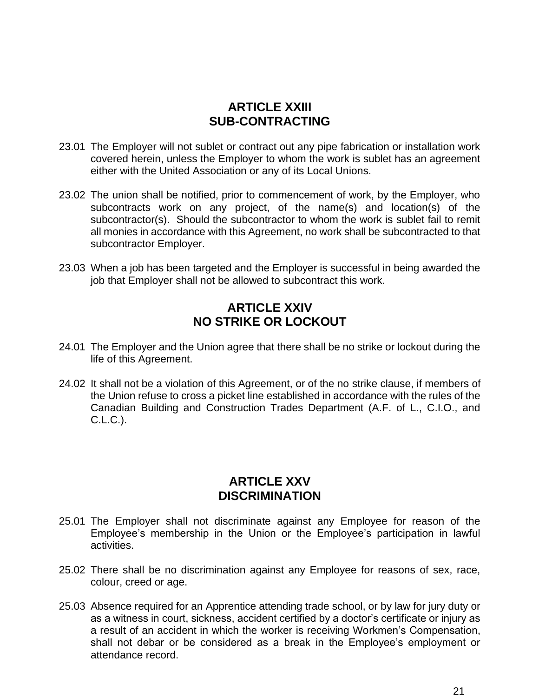#### **ARTICLE XXIII SUB-CONTRACTING**

- 23.01 The Employer will not sublet or contract out any pipe fabrication or installation work covered herein, unless the Employer to whom the work is sublet has an agreement either with the United Association or any of its Local Unions.
- 23.02 The union shall be notified, prior to commencement of work, by the Employer, who subcontracts work on any project, of the name(s) and location(s) of the subcontractor(s). Should the subcontractor to whom the work is sublet fail to remit all monies in accordance with this Agreement, no work shall be subcontracted to that subcontractor Employer.
- 23.03 When a job has been targeted and the Employer is successful in being awarded the job that Employer shall not be allowed to subcontract this work.

## **ARTICLE XXIV NO STRIKE OR LOCKOUT**

- 24.01 The Employer and the Union agree that there shall be no strike or lockout during the life of this Agreement.
- 24.02 It shall not be a violation of this Agreement, or of the no strike clause, if members of the Union refuse to cross a picket line established in accordance with the rules of the Canadian Building and Construction Trades Department (A.F. of L., C.I.O., and C.L.C.).

#### **ARTICLE XXV DISCRIMINATION**

- 25.01 The Employer shall not discriminate against any Employee for reason of the Employee's membership in the Union or the Employee's participation in lawful activities.
- 25.02 There shall be no discrimination against any Employee for reasons of sex, race, colour, creed or age.
- 25.03 Absence required for an Apprentice attending trade school, or by law for jury duty or as a witness in court, sickness, accident certified by a doctor's certificate or injury as a result of an accident in which the worker is receiving Workmen's Compensation, shall not debar or be considered as a break in the Employee's employment or attendance record.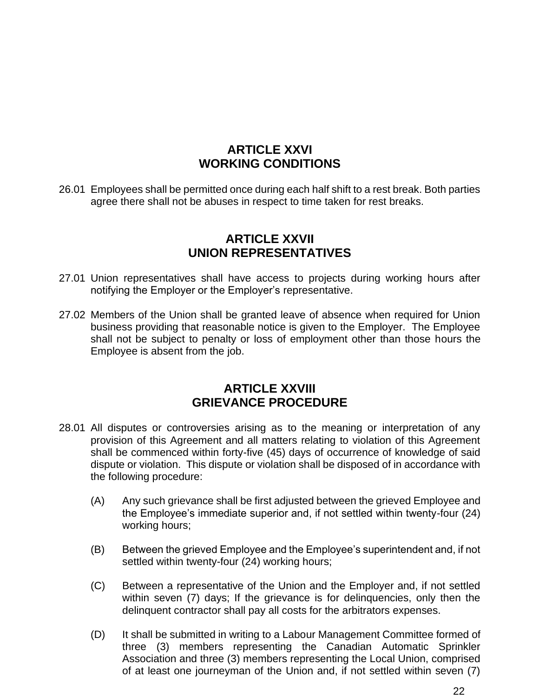## **ARTICLE XXVI WORKING CONDITIONS**

26.01 Employees shall be permitted once during each half shift to a rest break. Both parties agree there shall not be abuses in respect to time taken for rest breaks.

#### **ARTICLE XXVII UNION REPRESENTATIVES**

- 27.01 Union representatives shall have access to projects during working hours after notifying the Employer or the Employer's representative.
- 27.02 Members of the Union shall be granted leave of absence when required for Union business providing that reasonable notice is given to the Employer. The Employee shall not be subject to penalty or loss of employment other than those hours the Employee is absent from the job.

#### **ARTICLE XXVIII GRIEVANCE PROCEDURE**

- 28.01 All disputes or controversies arising as to the meaning or interpretation of any provision of this Agreement and all matters relating to violation of this Agreement shall be commenced within forty-five (45) days of occurrence of knowledge of said dispute or violation. This dispute or violation shall be disposed of in accordance with the following procedure:
	- (A) Any such grievance shall be first adjusted between the grieved Employee and the Employee's immediate superior and, if not settled within twenty-four (24) working hours;
	- (B) Between the grieved Employee and the Employee's superintendent and, if not settled within twenty-four (24) working hours;
	- (C) Between a representative of the Union and the Employer and, if not settled within seven (7) days; If the grievance is for delinquencies, only then the delinquent contractor shall pay all costs for the arbitrators expenses.
	- (D) It shall be submitted in writing to a Labour Management Committee formed of three (3) members representing the Canadian Automatic Sprinkler Association and three (3) members representing the Local Union, comprised of at least one journeyman of the Union and, if not settled within seven (7)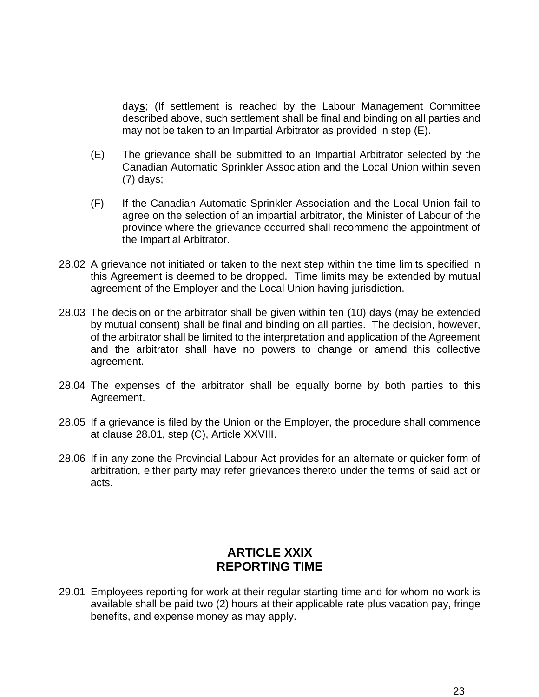day**s**; (If settlement is reached by the Labour Management Committee described above, such settlement shall be final and binding on all parties and may not be taken to an Impartial Arbitrator as provided in step (E).

- (E) The grievance shall be submitted to an Impartial Arbitrator selected by the Canadian Automatic Sprinkler Association and the Local Union within seven (7) days;
- (F) If the Canadian Automatic Sprinkler Association and the Local Union fail to agree on the selection of an impartial arbitrator, the Minister of Labour of the province where the grievance occurred shall recommend the appointment of the Impartial Arbitrator.
- 28.02 A grievance not initiated or taken to the next step within the time limits specified in this Agreement is deemed to be dropped. Time limits may be extended by mutual agreement of the Employer and the Local Union having jurisdiction.
- 28.03 The decision or the arbitrator shall be given within ten (10) days (may be extended by mutual consent) shall be final and binding on all parties. The decision, however, of the arbitrator shall be limited to the interpretation and application of the Agreement and the arbitrator shall have no powers to change or amend this collective agreement.
- 28.04 The expenses of the arbitrator shall be equally borne by both parties to this Agreement.
- 28.05 If a grievance is filed by the Union or the Employer, the procedure shall commence at clause 28.01, step (C), Article XXVIII.
- 28.06 If in any zone the Provincial Labour Act provides for an alternate or quicker form of arbitration, either party may refer grievances thereto under the terms of said act or acts.

#### **ARTICLE XXIX REPORTING TIME**

29.01 Employees reporting for work at their regular starting time and for whom no work is available shall be paid two (2) hours at their applicable rate plus vacation pay, fringe benefits, and expense money as may apply.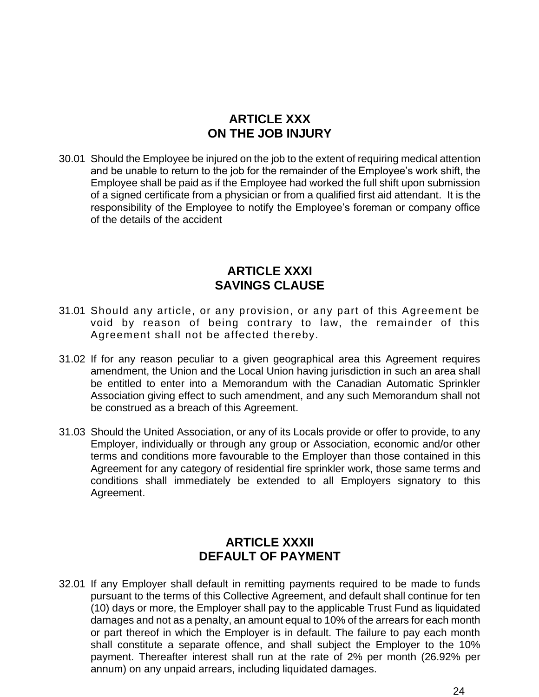## **ARTICLE XXX ON THE JOB INJURY**

30.01 Should the Employee be injured on the job to the extent of requiring medical attention and be unable to return to the job for the remainder of the Employee's work shift, the Employee shall be paid as if the Employee had worked the full shift upon submission of a signed certificate from a physician or from a qualified first aid attendant. It is the responsibility of the Employee to notify the Employee's foreman or company office of the details of the accident

#### **ARTICLE XXXI SAVINGS CLAUSE**

- 31.01 Should any article, or any provision, or any part of this Agreement be void by reason of being contrary to law, the remainder of this Agreement shall not be affected thereby.
- 31.02 If for any reason peculiar to a given geographical area this Agreement requires amendment, the Union and the Local Union having jurisdiction in such an area shall be entitled to enter into a Memorandum with the Canadian Automatic Sprinkler Association giving effect to such amendment, and any such Memorandum shall not be construed as a breach of this Agreement.
- 31.03 Should the United Association, or any of its Locals provide or offer to provide, to any Employer, individually or through any group or Association, economic and/or other terms and conditions more favourable to the Employer than those contained in this Agreement for any category of residential fire sprinkler work, those same terms and conditions shall immediately be extended to all Employers signatory to this Agreement.

## **ARTICLE XXXII DEFAULT OF PAYMENT**

32.01 If any Employer shall default in remitting payments required to be made to funds pursuant to the terms of this Collective Agreement, and default shall continue for ten (10) days or more, the Employer shall pay to the applicable Trust Fund as liquidated damages and not as a penalty, an amount equal to 10% of the arrears for each month or part thereof in which the Employer is in default. The failure to pay each month shall constitute a separate offence, and shall subject the Employer to the 10% payment. Thereafter interest shall run at the rate of 2% per month (26.92% per annum) on any unpaid arrears, including liquidated damages.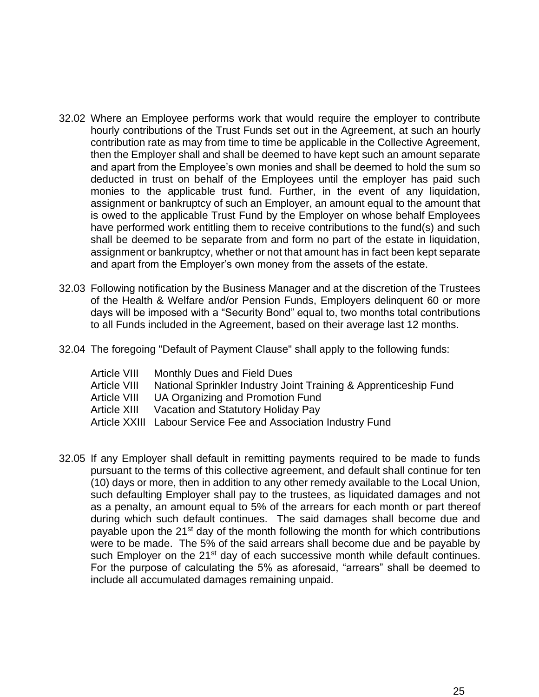- 32.02 Where an Employee performs work that would require the employer to contribute hourly contributions of the Trust Funds set out in the Agreement, at such an hourly contribution rate as may from time to time be applicable in the Collective Agreement, then the Employer shall and shall be deemed to have kept such an amount separate and apart from the Employee's own monies and shall be deemed to hold the sum so deducted in trust on behalf of the Employees until the employer has paid such monies to the applicable trust fund. Further, in the event of any liquidation, assignment or bankruptcy of such an Employer, an amount equal to the amount that is owed to the applicable Trust Fund by the Employer on whose behalf Employees have performed work entitling them to receive contributions to the fund(s) and such shall be deemed to be separate from and form no part of the estate in liquidation, assignment or bankruptcy, whether or not that amount has in fact been kept separate and apart from the Employer's own money from the assets of the estate.
- 32.03 Following notification by the Business Manager and at the discretion of the Trustees of the Health & Welfare and/or Pension Funds, Employers delinquent 60 or more days will be imposed with a "Security Bond" equal to, two months total contributions to all Funds included in the Agreement, based on their average last 12 months.
- 32.04 The foregoing "Default of Payment Clause" shall apply to the following funds:

| Article VIII | Monthly Dues and Field Dues                                      |
|--------------|------------------------------------------------------------------|
| Article VIII | National Sprinkler Industry Joint Training & Apprenticeship Fund |
| Article VIII | UA Organizing and Promotion Fund                                 |
| Article XIII | Vacation and Statutory Holiday Pay                               |
|              | Article XXIII Labour Service Fee and Association Industry Fund   |

32.05 If any Employer shall default in remitting payments required to be made to funds pursuant to the terms of this collective agreement, and default shall continue for ten (10) days or more, then in addition to any other remedy available to the Local Union, such defaulting Employer shall pay to the trustees, as liquidated damages and not as a penalty, an amount equal to 5% of the arrears for each month or part thereof during which such default continues. The said damages shall become due and payable upon the 21<sup>st</sup> day of the month following the month for which contributions were to be made. The 5% of the said arrears shall become due and be payable by such Employer on the 21<sup>st</sup> day of each successive month while default continues. For the purpose of calculating the 5% as aforesaid, "arrears" shall be deemed to include all accumulated damages remaining unpaid.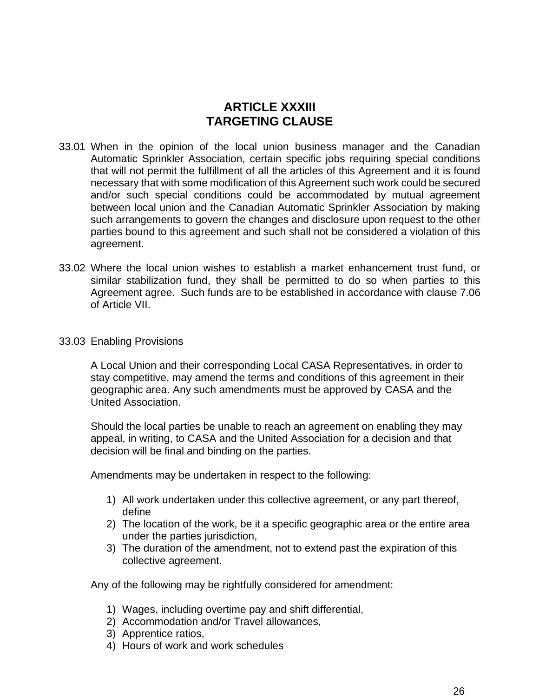#### **ARTICLE XXXIII TARGETING CLAUSE**

- 33.01 When in the opinion of the local union business manager and the Canadian Automatic Sprinkler Association, certain specific jobs requiring special conditions that will not permit the fulfillment of all the articles of this Agreement and it is found necessary that with some modification of this Agreement such work could be secured and/or such special conditions could be accommodated by mutual agreement between local union and the Canadian Automatic Sprinkler Association by making such arrangements to govern the changes and disclosure upon request to the other parties bound to this agreement and such shall not be considered a violation of this agreement.
- 33.02 Where the local union wishes to establish a market enhancement trust fund, or similar stabilization fund, they shall be permitted to do so when parties to this Agreement agree. Such funds are to be established in accordance with clause 7.06 of Article VII.
- 33.03 Enabling Provisions

A Local Union and their corresponding Local CASA Representatives, in order to stay competitive, may amend the terms and conditions of this agreement in their geographic area. Any such amendments must be approved by CASA and the United Association.

Should the local parties be unable to reach an agreement on enabling they may appeal, in writing, to CASA and the United Association for a decision and that decision will be final and binding on the parties.

Amendments may be undertaken in respect to the following:

- 1) All work undertaken under this collective agreement, or any part thereof, define
- 2) The location of the work, be it a specific geographic area or the entire area under the parties jurisdiction,
- 3) The duration of the amendment, not to extend past the expiration of this collective agreement.

Any of the following may be rightfully considered for amendment:

- 1) Wages, including overtime pay and shift differential,
- 2) Accommodation and/or Travel allowances,
- 3) Apprentice ratios,
- 4) Hours of work and work schedules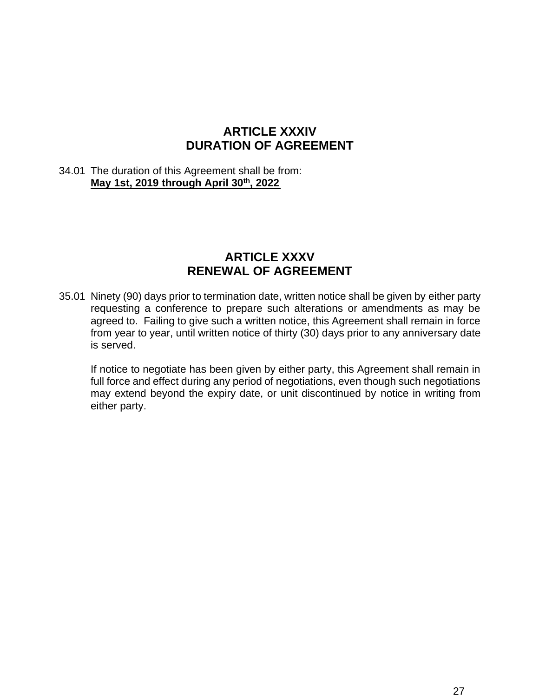#### **ARTICLE XXXIV DURATION OF AGREEMENT**

#### 34.01 The duration of this Agreement shall be from: **May 1st, 2019 through April 30th, 2022**

#### **ARTICLE XXXV RENEWAL OF AGREEMENT**

35.01 Ninety (90) days prior to termination date, written notice shall be given by either party requesting a conference to prepare such alterations or amendments as may be agreed to. Failing to give such a written notice, this Agreement shall remain in force from year to year, until written notice of thirty (30) days prior to any anniversary date is served.

If notice to negotiate has been given by either party, this Agreement shall remain in full force and effect during any period of negotiations, even though such negotiations may extend beyond the expiry date, or unit discontinued by notice in writing from either party.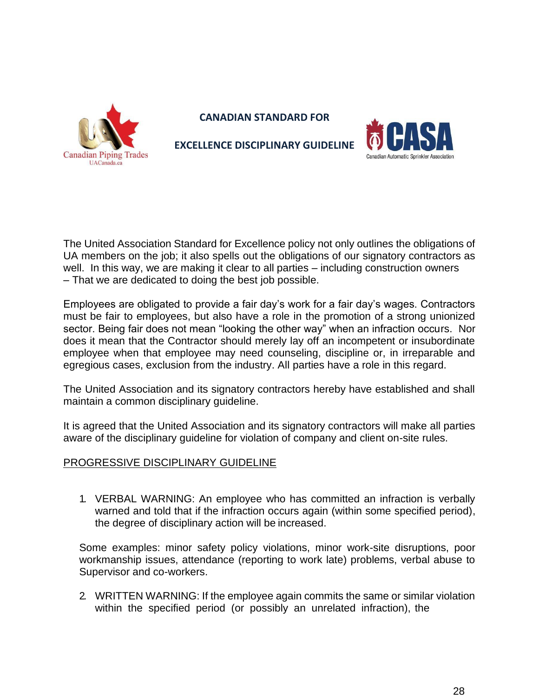

**CANADIAN STANDARD FOR** 



**EXCELLENCE DISCIPLINARY GUIDELINE**

The United Association Standard for Excellence policy not only outlines the obligations of UA members on the job; it also spells out the obligations of our signatory contractors as well. In this way, we are making it clear to all parties – including construction owners – That we are dedicated to doing the best job possible.

Employees are obligated to provide a fair day's work for a fair day's wages. Contractors must be fair to employees, but also have a role in the promotion of a strong unionized sector. Being fair does not mean "looking the other way" when an infraction occurs. Nor does it mean that the Contractor should merely lay off an incompetent or insubordinate employee when that employee may need counseling, discipline or, in irreparable and egregious cases, exclusion from the industry. All parties have a role in this regard.

The United Association and its signatory contractors hereby have established and shall maintain a common disciplinary guideline.

It is agreed that the United Association and its signatory contractors will make all parties aware of the disciplinary guideline for violation of company and client on-site rules.

#### PROGRESSIVE DISCIPLINARY GUIDELINE

1. VERBAL WARNING: An employee who has committed an infraction is verbally warned and told that if the infraction occurs again (within some specified period), the degree of disciplinary action will be increased.

Some examples: minor safety policy violations, minor work-site disruptions, poor workmanship issues, attendance (reporting to work late) problems, verbal abuse to Supervisor and co-workers.

2. WRITTEN WARNING: If the employee again commits the same or similar violation within the specified period (or possibly an unrelated infraction), the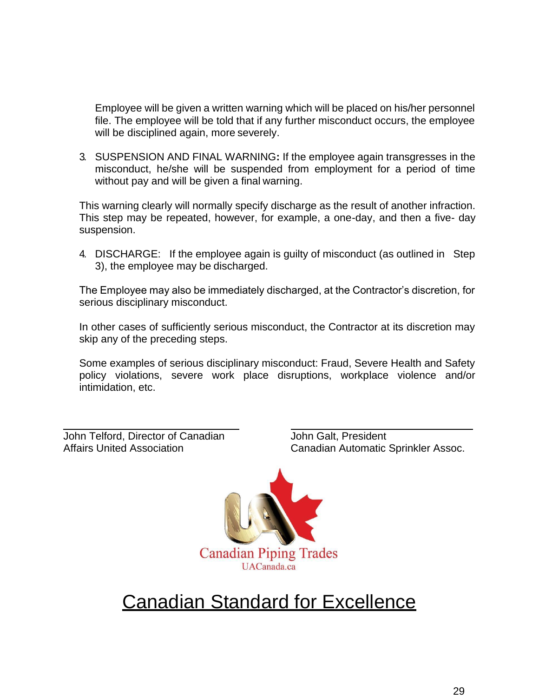Employee will be given a written warning which will be placed on his/her personnel file. The employee will be told that if any further misconduct occurs, the employee will be disciplined again, more severely.

3. SUSPENSION AND FINAL WARNING**:** If the employee again transgresses in the misconduct, he/she will be suspended from employment for a period of time without pay and will be given a final warning.

This warning clearly will normally specify discharge as the result of another infraction. This step may be repeated, however, for example, a one-day, and then a five- day suspension.

4. DISCHARGE: If the employee again is guilty of misconduct (as outlined in Step 3), the employee may be discharged.

The Employee may also be immediately discharged, at the Contractor's discretion, for serious disciplinary misconduct.

In other cases of sufficiently serious misconduct, the Contractor at its discretion may skip any of the preceding steps.

Some examples of serious disciplinary misconduct: Fraud, Severe Health and Safety policy violations, severe work place disruptions, workplace violence and/or intimidation, etc.

John Telford, Director of Canadian Affairs United Association

John Galt, President Canadian Automatic Sprinkler Assoc.



# **Canadian Standard for Excellence**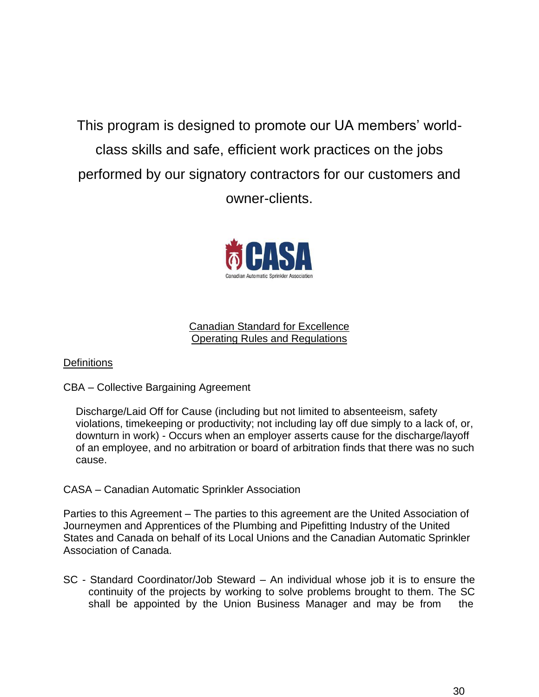This program is designed to promote our UA members' worldclass skills and safe, efficient work practices on the jobs performed by our signatory contractors for our customers and owner-clients.



#### Canadian Standard for Excellence Operating Rules and Regulations

#### **Definitions**

#### CBA – Collective Bargaining Agreement

Discharge/Laid Off for Cause (including but not limited to absenteeism, safety violations, timekeeping or productivity; not including lay off due simply to a lack of, or, downturn in work) - Occurs when an employer asserts cause for the discharge/layoff of an employee, and no arbitration or board of arbitration finds that there was no such cause.

#### CASA – Canadian Automatic Sprinkler Association

Parties to this Agreement – The parties to this agreement are the United Association of Journeymen and Apprentices of the Plumbing and Pipefitting Industry of the United States and Canada on behalf of its Local Unions and the Canadian Automatic Sprinkler Association of Canada.

SC - Standard Coordinator/Job Steward – An individual whose job it is to ensure the continuity of the projects by working to solve problems brought to them. The SC shall be appointed by the Union Business Manager and may be from the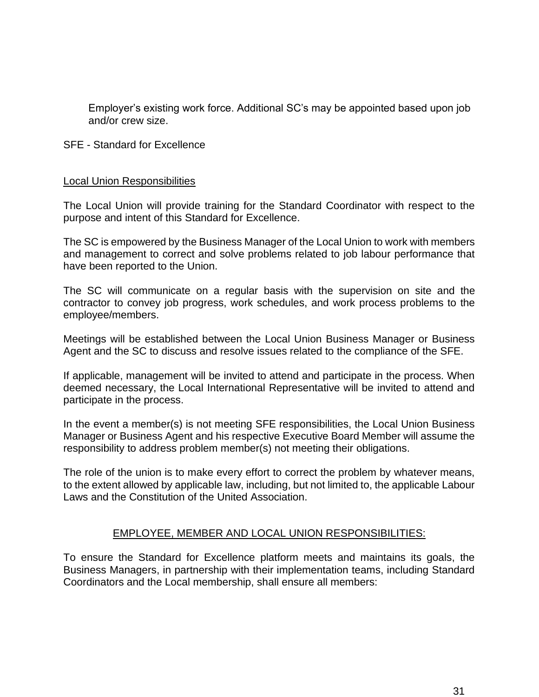Employer's existing work force. Additional SC's may be appointed based upon job and/or crew size.

#### SFE - Standard for Excellence

#### Local Union Responsibilities

The Local Union will provide training for the Standard Coordinator with respect to the purpose and intent of this Standard for Excellence.

The SC is empowered by the Business Manager of the Local Union to work with members and management to correct and solve problems related to job labour performance that have been reported to the Union.

The SC will communicate on a regular basis with the supervision on site and the contractor to convey job progress, work schedules, and work process problems to the employee/members.

Meetings will be established between the Local Union Business Manager or Business Agent and the SC to discuss and resolve issues related to the compliance of the SFE.

If applicable, management will be invited to attend and participate in the process. When deemed necessary, the Local International Representative will be invited to attend and participate in the process.

In the event a member(s) is not meeting SFE responsibilities, the Local Union Business Manager or Business Agent and his respective Executive Board Member will assume the responsibility to address problem member(s) not meeting their obligations.

The role of the union is to make every effort to correct the problem by whatever means, to the extent allowed by applicable law, including, but not limited to, the applicable Labour Laws and the Constitution of the United Association.

#### EMPLOYEE, MEMBER AND LOCAL UNION RESPONSIBILITIES:

To ensure the Standard for Excellence platform meets and maintains its goals, the Business Managers, in partnership with their implementation teams, including Standard Coordinators and the Local membership, shall ensure all members: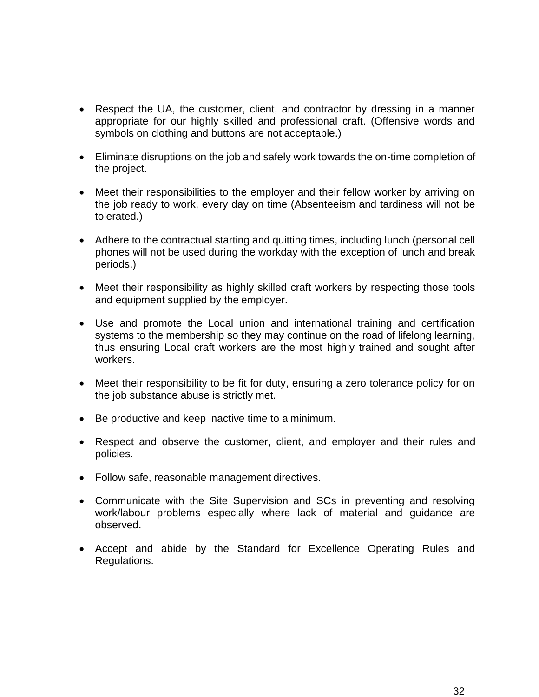- Respect the UA, the customer, client, and contractor by dressing in a manner appropriate for our highly skilled and professional craft. (Offensive words and symbols on clothing and buttons are not acceptable.)
- Eliminate disruptions on the job and safely work towards the on-time completion of the project.
- Meet their responsibilities to the employer and their fellow worker by arriving on the job ready to work, every day on time (Absenteeism and tardiness will not be tolerated.)
- Adhere to the contractual starting and quitting times, including lunch (personal cell phones will not be used during the workday with the exception of lunch and break periods.)
- Meet their responsibility as highly skilled craft workers by respecting those tools and equipment supplied by the employer.
- Use and promote the Local union and international training and certification systems to the membership so they may continue on the road of lifelong learning, thus ensuring Local craft workers are the most highly trained and sought after workers.
- Meet their responsibility to be fit for duty, ensuring a zero tolerance policy for on the job substance abuse is strictly met.
- Be productive and keep inactive time to a minimum.
- Respect and observe the customer, client, and employer and their rules and policies.
- Follow safe, reasonable management directives.
- Communicate with the Site Supervision and SCs in preventing and resolving work/labour problems especially where lack of material and guidance are observed.
- Accept and abide by the Standard for Excellence Operating Rules and Regulations.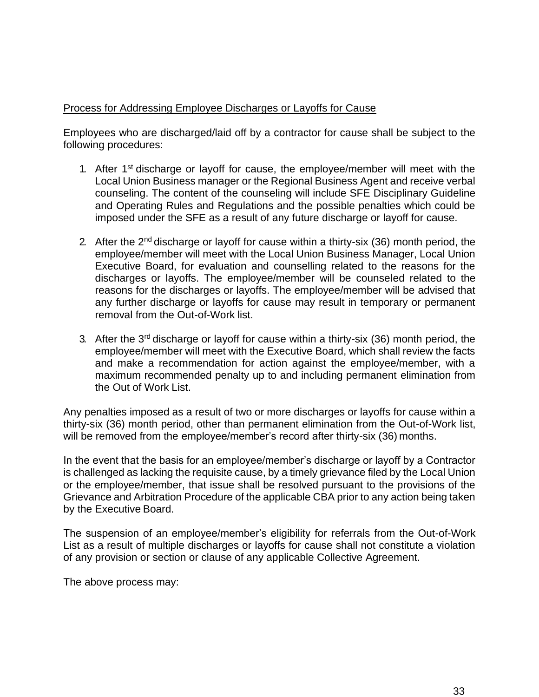#### Process for Addressing Employee Discharges or Layoffs for Cause

Employees who are discharged/laid off by a contractor for cause shall be subject to the following procedures:

- 1. After 1<sup>st</sup> discharge or layoff for cause, the employee/member will meet with the Local Union Business manager or the Regional Business Agent and receive verbal counseling. The content of the counseling will include SFE Disciplinary Guideline and Operating Rules and Regulations and the possible penalties which could be imposed under the SFE as a result of any future discharge or layoff for cause.
- 2. After the  $2^{nd}$  discharge or layoff for cause within a thirty-six (36) month period, the employee/member will meet with the Local Union Business Manager, Local Union Executive Board, for evaluation and counselling related to the reasons for the discharges or layoffs. The employee/member will be counseled related to the reasons for the discharges or layoffs. The employee/member will be advised that any further discharge or layoffs for cause may result in temporary or permanent removal from the Out-of-Work list.
- 3. After the  $3<sup>rd</sup>$  discharge or layoff for cause within a thirty-six (36) month period, the employee/member will meet with the Executive Board, which shall review the facts and make a recommendation for action against the employee/member, with a maximum recommended penalty up to and including permanent elimination from the Out of Work List.

Any penalties imposed as a result of two or more discharges or layoffs for cause within a thirty-six (36) month period, other than permanent elimination from the Out-of-Work list, will be removed from the employee/member's record after thirty-six (36) months.

In the event that the basis for an employee/member's discharge or layoff by a Contractor is challenged as lacking the requisite cause, by a timely grievance filed by the Local Union or the employee/member, that issue shall be resolved pursuant to the provisions of the Grievance and Arbitration Procedure of the applicable CBA prior to any action being taken by the Executive Board.

The suspension of an employee/member's eligibility for referrals from the Out-of-Work List as a result of multiple discharges or layoffs for cause shall not constitute a violation of any provision or section or clause of any applicable Collective Agreement.

The above process may: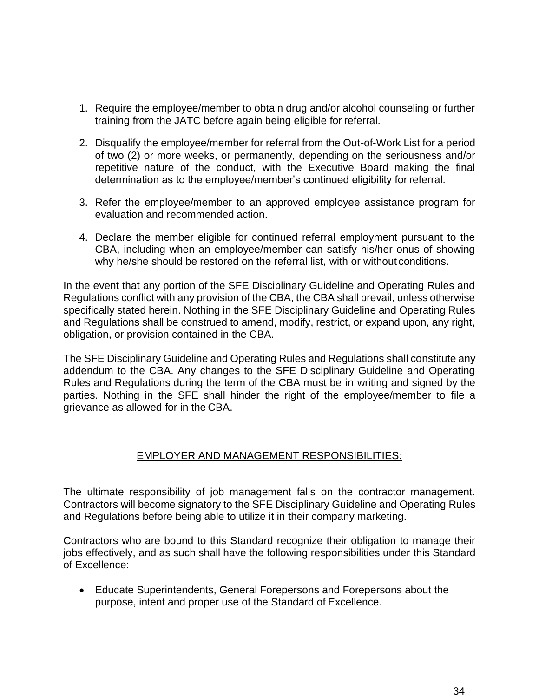- 1. Require the employee/member to obtain drug and/or alcohol counseling or further training from the JATC before again being eligible for referral.
- 2. Disqualify the employee/member for referral from the Out-of-Work List for a period of two (2) or more weeks, or permanently, depending on the seriousness and/or repetitive nature of the conduct, with the Executive Board making the final determination as to the employee/member's continued eligibility for referral.
- 3. Refer the employee/member to an approved employee assistance program for evaluation and recommended action.
- 4. Declare the member eligible for continued referral employment pursuant to the CBA, including when an employee/member can satisfy his/her onus of showing why he/she should be restored on the referral list, with or without conditions.

In the event that any portion of the SFE Disciplinary Guideline and Operating Rules and Regulations conflict with any provision of the CBA, the CBA shall prevail, unless otherwise specifically stated herein. Nothing in the SFE Disciplinary Guideline and Operating Rules and Regulations shall be construed to amend, modify, restrict, or expand upon, any right, obligation, or provision contained in the CBA.

The SFE Disciplinary Guideline and Operating Rules and Regulations shall constitute any addendum to the CBA. Any changes to the SFE Disciplinary Guideline and Operating Rules and Regulations during the term of the CBA must be in writing and signed by the parties. Nothing in the SFE shall hinder the right of the employee/member to file a grievance as allowed for in the CBA.

#### EMPLOYER AND MANAGEMENT RESPONSIBILITIES:

The ultimate responsibility of job management falls on the contractor management. Contractors will become signatory to the SFE Disciplinary Guideline and Operating Rules and Regulations before being able to utilize it in their company marketing.

Contractors who are bound to this Standard recognize their obligation to manage their jobs effectively, and as such shall have the following responsibilities under this Standard of Excellence:

• Educate Superintendents, General Forepersons and Forepersons about the purpose, intent and proper use of the Standard of Excellence.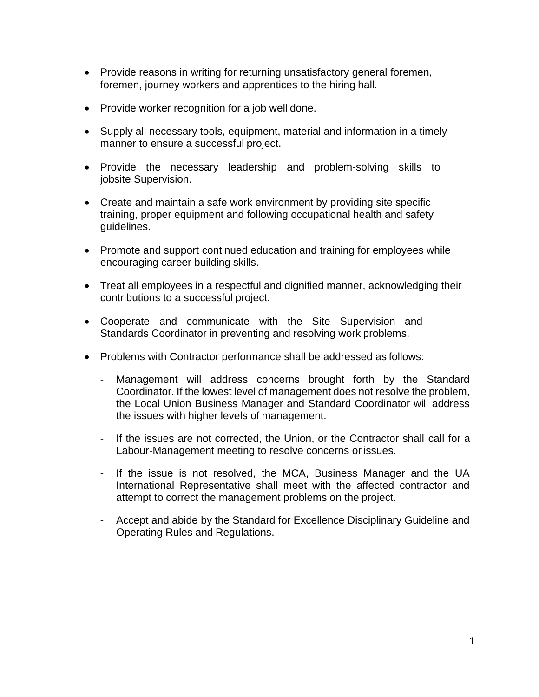- Provide reasons in writing for returning unsatisfactory general foremen, foremen, journey workers and apprentices to the hiring hall.
- Provide worker recognition for a job well done.
- Supply all necessary tools, equipment, material and information in a timely manner to ensure a successful project.
- Provide the necessary leadership and problem-solving skills to jobsite Supervision.
- Create and maintain a safe work environment by providing site specific training, proper equipment and following occupational health and safety guidelines.
- Promote and support continued education and training for employees while encouraging career building skills.
- Treat all employees in a respectful and dignified manner, acknowledging their contributions to a successful project.
- Cooperate and communicate with the Site Supervision and Standards Coordinator in preventing and resolving work problems.
- Problems with Contractor performance shall be addressed as follows:
	- Management will address concerns brought forth by the Standard Coordinator. If the lowest level of management does not resolve the problem, the Local Union Business Manager and Standard Coordinator will address the issues with higher levels of management.
	- If the issues are not corrected, the Union, or the Contractor shall call for a Labour-Management meeting to resolve concerns or issues.
	- If the issue is not resolved, the MCA, Business Manager and the UA International Representative shall meet with the affected contractor and attempt to correct the management problems on the project.
	- Accept and abide by the Standard for Excellence Disciplinary Guideline and Operating Rules and Regulations.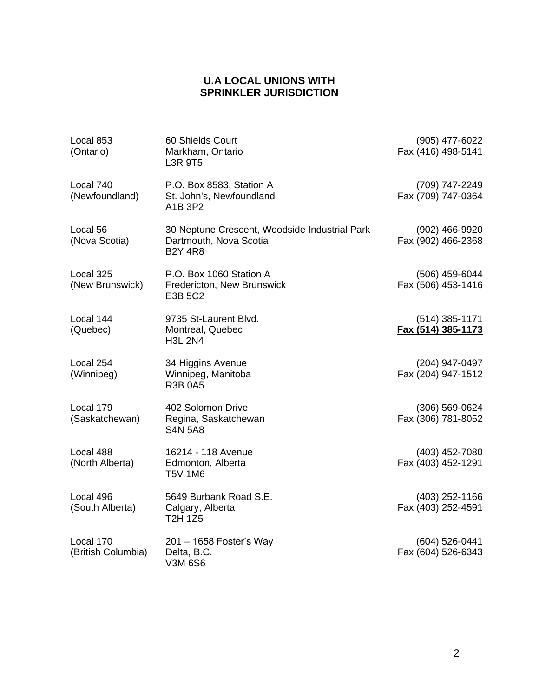#### **U.A LOCAL UNIONS WITH SPRINKLER JURISDICTION**

| Local 853<br>(Ontario)          | 60 Shields Court<br>Markham, Ontario<br><b>L3R 9T5</b>                                    |  | (905) 477-6022<br>Fax (416) 498-5141   |
|---------------------------------|-------------------------------------------------------------------------------------------|--|----------------------------------------|
| Local 740<br>(Newfoundland)     | P.O. Box 8583, Station A<br>St. John's, Newfoundland<br>A1B 3P2                           |  | (709) 747-2249<br>Fax (709) 747-0364   |
| Local 56<br>(Nova Scotia)       | 30 Neptune Crescent, Woodside Industrial Park<br>Dartmouth, Nova Scotia<br><b>B2Y 4R8</b> |  | (902) 466-9920<br>Fax (902) 466-2368   |
| Local 325<br>(New Brunswick)    | P.O. Box 1060 Station A<br>Fredericton, New Brunswick<br>E3B 5C2                          |  | (506) 459-6044<br>Fax (506) 453-1416   |
| Local 144<br>(Quebec)           | 9735 St-Laurent Blvd.<br>Montreal, Quebec<br><b>H3L 2N4</b>                               |  | $(514)$ 385-1171<br>Fax (514) 385-1173 |
| Local 254<br>(Winnipeg)         | 34 Higgins Avenue<br>Winnipeg, Manitoba<br><b>R3B 0A5</b>                                 |  | (204) 947-0497<br>Fax (204) 947-1512   |
| Local 179<br>(Saskatchewan)     | 402 Solomon Drive<br>Regina, Saskatchewan<br><b>S4N 5A8</b>                               |  | (306) 569-0624<br>Fax (306) 781-8052   |
| Local 488<br>(North Alberta)    | 16214 - 118 Avenue<br>Edmonton, Alberta<br><b>T5V 1M6</b>                                 |  | $(403)$ 452-7080<br>Fax (403) 452-1291 |
| Local 496<br>(South Alberta)    | 5649 Burbank Road S.E.<br>Calgary, Alberta<br><b>T2H 1Z5</b>                              |  | $(403)$ 252-1166<br>Fax (403) 252-4591 |
| Local 170<br>(British Columbia) | 201 - 1658 Foster's Way<br>Delta, B.C.<br><b>V3M 6S6</b>                                  |  | (604) 526-0441<br>Fax (604) 526-6343   |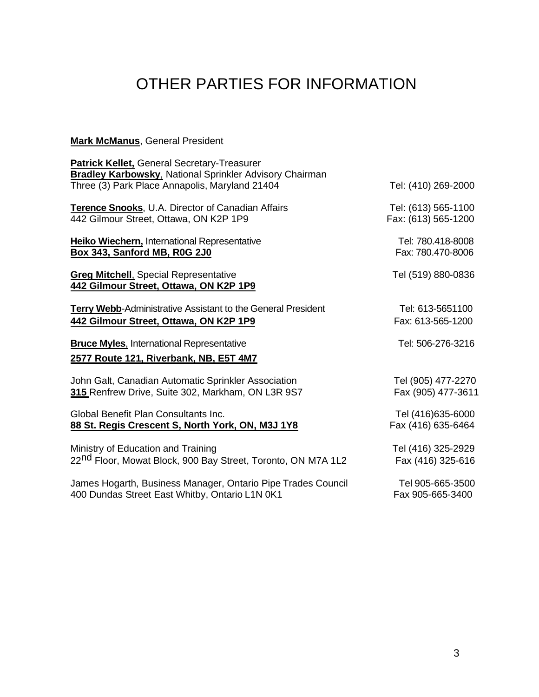# OTHER PARTIES FOR INFORMATION

#### **Mark McManus**, General President

| Patrick Kellet, General Secretary-Treasurer<br><b>Bradley Karbowsky, National Sprinkler Advisory Chairman</b> |                     |
|---------------------------------------------------------------------------------------------------------------|---------------------|
| Three (3) Park Place Annapolis, Maryland 21404                                                                | Tel: (410) 269-2000 |
| Terence Snooks, U.A. Director of Canadian Affairs                                                             | Tel: (613) 565-1100 |
| 442 Gilmour Street, Ottawa, ON K2P 1P9                                                                        | Fax: (613) 565-1200 |
| Heiko Wiechern, International Representative                                                                  | Tel: 780.418-8008   |
| Box 343, Sanford MB, R0G 2J0                                                                                  | Fax: 780.470-8006   |
| <b>Greg Mitchell, Special Representative</b><br>442 Gilmour Street, Ottawa, ON K2P 1P9                        | Tel (519) 880-0836  |
| <b>Terry Webb-Administrative Assistant to the General President</b>                                           | Tel: 613-5651100    |
| 442 Gilmour Street, Ottawa, ON K2P 1P9                                                                        | Fax: 613-565-1200   |
| <b>Bruce Myles.</b> International Representative<br>2577 Route 121, Riverbank, NB, E5T 4M7                    | Tel: 506-276-3216   |
| John Galt, Canadian Automatic Sprinkler Association                                                           | Tel (905) 477-2270  |
| 315 Renfrew Drive, Suite 302, Markham, ON L3R 9S7                                                             | Fax (905) 477-3611  |
| Global Benefit Plan Consultants Inc.                                                                          | Tel (416)635-6000   |
| 88 St. Regis Crescent S, North York, ON, M3J 1Y8                                                              | Fax (416) 635-6464  |
| Ministry of Education and Training                                                                            | Tel (416) 325-2929  |
| 22 <sup>nd</sup> Floor, Mowat Block, 900 Bay Street, Toronto, ON M7A 1L2                                      | Fax (416) 325-616   |
| James Hogarth, Business Manager, Ontario Pipe Trades Council                                                  | Tel 905-665-3500    |
| 400 Dundas Street East Whitby, Ontario L1N 0K1                                                                | Fax 905-665-3400    |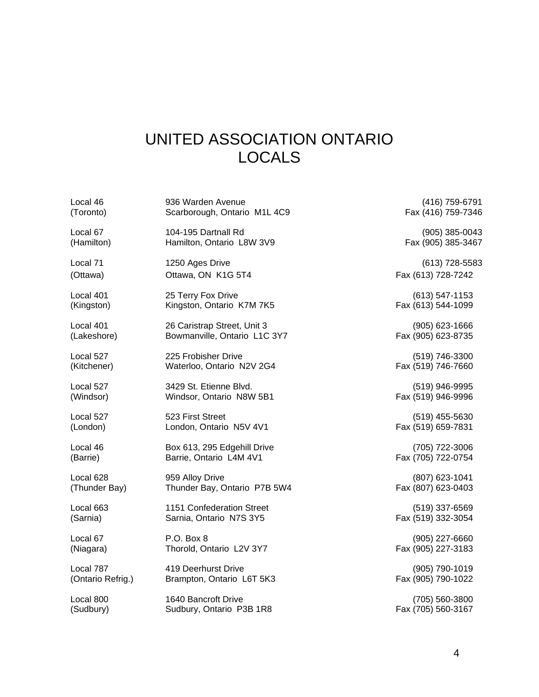## UNITED ASSOCIATION ONTARIO LOCALS

| Local 46          | 936 Warden Avenue            | (416) 759-6791     |
|-------------------|------------------------------|--------------------|
| (Toronto)         | Scarborough, Ontario M1L 4C9 | Fax (416) 759-7346 |
| Local 67          | 104-195 Dartnall Rd          | $(905)$ 385-0043   |
| (Hamilton)        | Hamilton, Ontario L8W 3V9    | Fax (905) 385-3467 |
| Local 71          | 1250 Ages Drive              | $(613)$ 728-5583   |
| (Ottawa)          | Ottawa, ON K1G 5T4           | Fax (613) 728-7242 |
| Local 401         | 25 Terry Fox Drive           | $(613) 547 - 1153$ |
| (Kingston)        | Kingston, Ontario K7M 7K5    | Fax (613) 544-1099 |
| Local 401         | 26 Caristrap Street, Unit 3  | $(905)$ 623-1666   |
| (Lakeshore)       | Bowmanville, Ontario L1C 3Y7 | Fax (905) 623-8735 |
| Local 527         | 225 Frobisher Drive          | (519) 746-3300     |
| (Kitchener)       | Waterloo, Ontario N2V 2G4    | Fax (519) 746-7660 |
| Local 527         | 3429 St. Etienne Blvd.       | (519) 946-9995     |
| (Windsor)         | Windsor, Ontario N8W 5B1     | Fax (519) 946-9996 |
| Local 527         | 523 First Street             | $(519)$ 455-5630   |
| (London)          | London, Ontario N5V 4V1      | Fax (519) 659-7831 |
| Local 46          | Box 613, 295 Edgehill Drive  | (705) 722-3006     |
| (Barrie)          | Barrie, Ontario L4M 4V1      | Fax (705) 722-0754 |
| Local 628         | 959 Alloy Drive              | (807) 623-1041     |
| (Thunder Bay)     | Thunder Bay, Ontario P7B 5W4 | Fax (807) 623-0403 |
| Local 663         | 1151 Confederation Street    | (519) 337-6569     |
| (Sarnia)          | Sarnia, Ontario N7S 3Y5      | Fax (519) 332-3054 |
| Local 67          | P.O. Box 8                   | (905) 227-6660     |
| (Niagara)         | Thorold, Ontario L2V 3Y7     | Fax (905) 227-3183 |
| Local 787         | 419 Deerhurst Drive          | (905) 790-1019     |
| (Ontario Refrig.) | Brampton, Ontario L6T 5K3    | Fax (905) 790-1022 |
| Local 800         | 1640 Bancroft Drive          | (705) 560-3800     |
| (Sudbury)         | Sudbury, Ontario P3B 1R8     | Fax (705) 560-3167 |